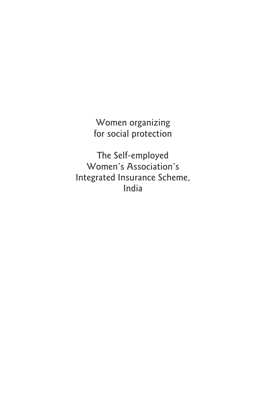Women organizing for social protection

The Self-employed Women's Association's Integrated Insurance Scheme, India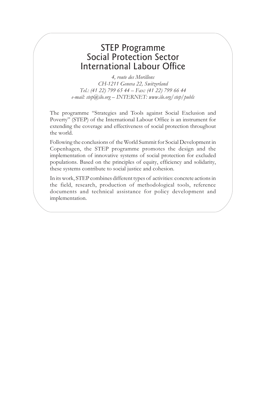### STEP Programme Social Protection Sector International Labour Office

*4, route des Morillons CH-1211 Geneva 22, Switzerland Tel.: (41 22) 799 65 44 – Fax: (41 22) 799 66 44 e-mail: step@ilo.org – INTERNET: www.ilo.org/step/publs*

The programme "Strategies and Tools against Social Exclusion and Poverty" (STEP) of the International Labour Office is an instrument for extending the coverage and effectiveness of social protection throughout the world.

Following the conclusions of the World Summit for Social Development in Copenhagen, the STEP programme promotes the design and the implementation of innovative systems of social protection for excluded populations. Based on the principles of equity, efficiency and solidarity, these systems contribute to social justice and cohesion.

In its work, STEP combines different types of activities: concrete actions in the field, research, production of methodological tools, reference documents and technical assistance for policy development and implementation.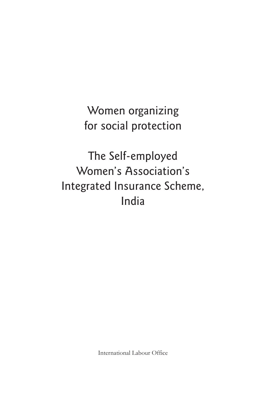Women organizing for social protection

The Self-employed Women's Association's Integrated Insurance Scheme, India

International Labour Office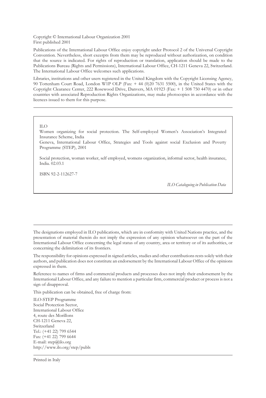Copyright © International Labour Organization 2001 First published 2001

Publications of the International Labour Office enjoy copyright under Protocol 2 of the Universal Copyright Convention. Nevertheless, short excerpts from them may be reproduced without authorization, on condition that the source is indicated. For rights of reproduction or translation, application should be made to the Publications Bureau (Rights and Permissions), International Labour Office, CH-1211 Geneva 22, Switzerland. The International Labour Office welcomes such applications.

Libraries, institutions and other users registered in the United Kingdom with the Copyright Licensing Agency, 90 Tottenham Court Road, London W1P OLP (Fax: + 44 (0)20 7631 5500), in the United States with the Copyright Clearance Center, 222 Rosewood Drive, Danvers, MA 01923 (Fax: + 1 508 750 4470) or in other countries with associated Reproduction Rights Organizations, may make photocopies in accordance with the licences issued to them for this purpose.

#### ILO

Women organizing for social protection. The Self-employed Women's Association's Integrated Insurance Scheme, India

Geneva, International Labour Office, Strategies and Tools against social Exclusion and Poverty Programme (STEP), 2001

Social protection, woman worker, self employed, womens organization, informal sector, health insurance, India. 02.03.1

ISBN 92-2-112627-7

*ILO Cataloguing in Publication Data*

The designations employed in ILO publications, which are in conformity with United Nations practice, and the presentation of material therein do not imply the expression of any opinion whatsoever on the part of the International Labour Office concerning the legal status of any country, area or territory or of its authorities, or concerning the delimitation of its frontiers.

The responsibility for opinions expressed in signed articles, studies and other contributions rests solely with their authors, and publication does not constitute an endorsement by the International Labour Office of the opinions expressed in them.

Reference to names of firms and commercial products and processes does not imply their endorsement by the International Labour Office, and any failure to mention a particular firm, commercial product or process is not a sign of disapproval.

This publication can be obtained, free of charge from:

ILO-STEP Programme Social Protection Sector, International Labour Office 4, route des Morillons CH-1211 Geneva 22, Switzerland Tel.: (+41 22) 799 6544 Fax: (+41 22) 799 6644 E-mail: step@ilo.org http://www.ilo.org/step/publs

Printed in Italy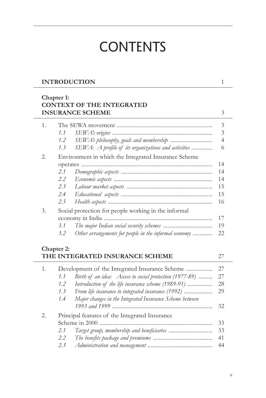# **CONTENTS**

| <b>INTRODUCTION</b> |  |
|---------------------|--|
|                     |  |

**Chapter 1:**

|               |                                                       | 3                                                                                                                                                                                                                                                                                                                                |
|---------------|-------------------------------------------------------|----------------------------------------------------------------------------------------------------------------------------------------------------------------------------------------------------------------------------------------------------------------------------------------------------------------------------------|
|               |                                                       | 3                                                                                                                                                                                                                                                                                                                                |
| 1.1           |                                                       | 3                                                                                                                                                                                                                                                                                                                                |
| $1.2^{\circ}$ |                                                       | $\overline{4}$                                                                                                                                                                                                                                                                                                                   |
| 1.3           | SEWA: A profile of its organizations and activities   | 6                                                                                                                                                                                                                                                                                                                                |
|               |                                                       |                                                                                                                                                                                                                                                                                                                                  |
|               |                                                       | 14                                                                                                                                                                                                                                                                                                                               |
| 2.1           |                                                       | 14                                                                                                                                                                                                                                                                                                                               |
| 2.2           |                                                       | 14                                                                                                                                                                                                                                                                                                                               |
| 2.3           |                                                       | 15                                                                                                                                                                                                                                                                                                                               |
| 2.4           |                                                       | 15                                                                                                                                                                                                                                                                                                                               |
| 2.5           |                                                       | 16                                                                                                                                                                                                                                                                                                                               |
|               |                                                       |                                                                                                                                                                                                                                                                                                                                  |
|               |                                                       | 17                                                                                                                                                                                                                                                                                                                               |
| 3.1           |                                                       | 19                                                                                                                                                                                                                                                                                                                               |
| 3.2           | Other arrangements for people in the informal economy | 22                                                                                                                                                                                                                                                                                                                               |
|               |                                                       |                                                                                                                                                                                                                                                                                                                                  |
|               |                                                       | 27                                                                                                                                                                                                                                                                                                                               |
|               |                                                       | 27                                                                                                                                                                                                                                                                                                                               |
| 1.1           |                                                       | 27                                                                                                                                                                                                                                                                                                                               |
| 1.2           |                                                       | 28                                                                                                                                                                                                                                                                                                                               |
| 1.3           | From life insurance to integrated insurance (1992)    | 29                                                                                                                                                                                                                                                                                                                               |
|               | Chapter 2:                                            | <b>CONTEXT OF THE INTEGRATED</b><br><b>INSURANCE SCHEME</b><br>Environment in which the Integrated Insurance Scheme<br>Social protection for people working in the informal<br>THE INTEGRATED INSURANCE SCHEME<br>Birth of an idea: Access to social protection (1977-89)<br>Introduction of the life insurance scheme (1989-91) |

|    | $1.4^{\circ}$ | Major changes in the Integrated Insurance Scheme between | 32 |
|----|---------------|----------------------------------------------------------|----|
| 2. |               | Principal features of the Integrated Insurance           |    |
|    |               |                                                          | 33 |
|    |               |                                                          |    |
|    | 2.2           |                                                          | 41 |
|    |               |                                                          |    |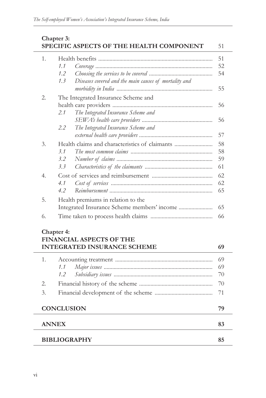#### **Chapter 3: SPECIFIC ASPECTS OF THE HEALTH COMPONENT** 51

| 1. | 1.1<br>1.2<br>1.3 | Diseases covered and the main causes of mortality and | 51<br>52<br>54 |
|----|-------------------|-------------------------------------------------------|----------------|
| 2. |                   | The Integrated Insurance Scheme and                   | 55             |
|    |                   |                                                       | 56             |
|    | 2.1               | The Integrated Insurance Scheme and                   |                |
|    |                   |                                                       | 56             |
|    | 2.2               | The Integrated Insurance Scheme and                   | 57             |
|    |                   |                                                       |                |
| 3. |                   |                                                       | 58             |
|    | 3.1               |                                                       | 58             |
|    | 3.2<br>3.3        |                                                       | 59<br>61       |
|    |                   |                                                       |                |
| 4. |                   |                                                       | 62             |
|    | 4.1               |                                                       | 62             |
|    | 4.2               |                                                       | 65             |
| 5. |                   | Health premiums in relation to the                    |                |
|    |                   |                                                       | 65             |
| 6. |                   |                                                       | 66             |

#### **Chapter 4: FINANCIAL ASPECTS OF THE INTEGRATED INSURANCE SCHEME** 69

| 1.           |                     | 69 |
|--------------|---------------------|----|
|              |                     | 69 |
|              |                     | 70 |
| 2.           |                     | 70 |
| 3.           |                     | 71 |
|              |                     |    |
|              | <b>CONCLUSION</b>   | 79 |
|              |                     |    |
| <b>ANNEX</b> |                     | 83 |
|              |                     |    |
|              | <b>BIBLIOGRAPHY</b> |    |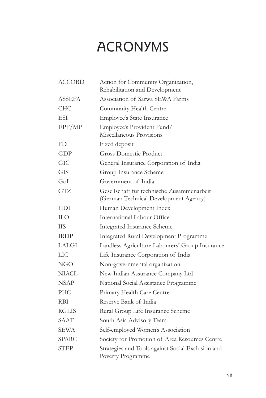# ACRONYMS

| <b>ACCORD</b> | Action for Community Organization,<br>Rehabilitation and Development                |
|---------------|-------------------------------------------------------------------------------------|
| ASSEFA        | Association of Sarwa SEWA Farms                                                     |
| <b>CHC</b>    | Community Health Centre                                                             |
| ESI           | Employee's State Insurance                                                          |
| EPF/MP        | Employee's Provident Fund/<br>Miscellaneous Provisions                              |
| FD            | Fixed deposit                                                                       |
| GDP           | Gross Domestic Product                                                              |
| GIC           | General Insurance Corporation of India                                              |
| <b>GIS</b>    | Group Insurance Scheme                                                              |
| GoI           | Government of India                                                                 |
| <b>GTZ</b>    | Gesellschaft für technische Zusammenarbeit<br>(German Technical Development Agency) |
| <b>HDI</b>    | Human Development Index                                                             |
| <b>ILO</b>    | International Labour Office                                                         |
| НS            | <b>Integrated Insurance Scheme</b>                                                  |
| <b>IRDP</b>   | <b>Integrated Rural Development Programme</b>                                       |
| LALGI         | Landless Agriculture Labourers' Group Insurance                                     |
| LIC           | Life Insurance Corporation of India                                                 |
| NGO           | Non-governmental organization                                                       |
| NIACL         | New Indian Assurance Company Ltd                                                    |
| <b>NSAP</b>   | National Social Assistance Programme                                                |
| <b>PHC</b>    | Primary Health Care Centre                                                          |
| R BI          | Reserve Bank of India                                                               |
| <b>RGLIS</b>  | Rural Group Life Insurance Scheme                                                   |
| SAAT          | South Asia Advisory Team                                                            |
| SEWA          | Self-employed Women's Association                                                   |
| <b>SPARC</b>  | Society for Promotion of Area Resources Centre                                      |
| <b>STEP</b>   | Strategies and Tools against Social Exclusion and<br>Poverty Programme              |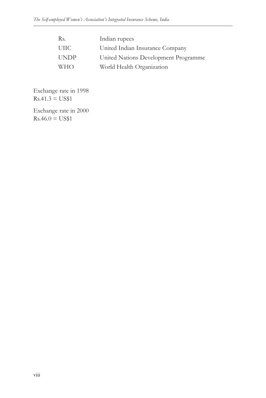| Rs.         | Indian rupees                        |
|-------------|--------------------------------------|
| <b>UIIC</b> | United Indian Insurance Company      |
| <b>UNDP</b> | United Nations Development Programme |
| <b>WHO</b>  | World Health Organization            |

Exchange rate in 1998  $Rs.41.3 = US$1$ 

Exchange rate in 2000  $Rs.46.0 = US$1$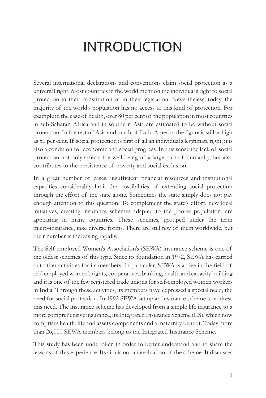# INTRODUCTION

Several international declarations and conventions claim social protection as a universal right. Most countries in the world mention the individual's right to social protection in their constitution or in their legislation. Nevertheless, today, the majority of the world's population has no access to this kind of protection. For example in the case of health, over 80 per cent of the population in most countries in sub-Saharan Africa and in southern Asia are estimated to be without social protection. In the rest of Asia and much of Latin America the figure is still as high as 50 per cent. If social protection is first of all an individual's legitimate right, it is also a condition for economic and social progress. In this sense the lack of social protection not only affects the well-being of a large part of humanity, but also contributes to the persistence of poverty and social exclusion.

In a great number of cases, insufficient financial resources and institutional capacities considerably limit the possibilities of extending social protection through the effort of the state alone. Sometimes the state simply does not pay enough attention to this question. To complement the state's effort, new local initiatives, creating insurance schemes adapted to the poorer population, are appearing in many countries. These schemes, grouped under the term micro-insurance, take diverse forms. There are still few of them worldwide, but their number is increasing rapidly.

The Self-employed Women's Association's (SEWA) insurance scheme is one of the oldest schemes of this type. Since its foundation in 1972, SEWA has carried out other activities for its members. In particular, SEWA is active in the field of self-employed women's rights, cooperatives, banking, health and capacity building and it is one of the few registered trade unions for self-employed women workers in India. Through these activities, its members have expressed a special need, the need for social protection. In 1992 SEWA set up an insurance scheme to address this need. The insurance scheme has developed from a simple life insurance to a more comprehensive insurance, its Integrated Insurance Scheme (IIS), which now comprises health, life and assets components and a maternity benefit. Today more than 26,000 SEWA members belong to the Integrated Insurance Scheme.

This study has been undertaken in order to better understand and to share the lessons of this experience. Its aim is not an evaluation of the scheme. It discusses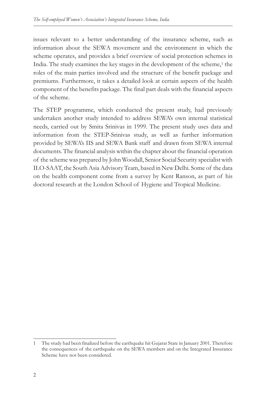issues relevant to a better understanding of the insurance scheme, such as information about the SEWA movement and the environment in which the scheme operates, and provides a brief overview of social protection schemes in India. The study examines the key stages in the development of the scheme,<sup>1</sup> the roles of the main parties involved and the structure of the benefit package and premiums. Furthermore, it takes a detailed look at certain aspects of the health component of the benefits package. The final part deals with the financial aspects of the scheme.

The STEP programme, which conducted the present study, had previously undertaken another study intended to address SEWA's own internal statistical needs, carried out by Smita Srinivas in 1999. The present study uses data and information from the STEP-Srinivas study, as well as further information provided by SEWA's IIS and SEWA Bank staff and drawn from SEWA internal documents. The financial analysis within the chapter about the financial operation of the scheme was prepared by John Woodall, Senior Social Security specialist with ILO-SAAT, the South Asia Advisory Team, based in New Delhi. Some of the data on the health component come from a survey by Kent Ranson, as part of his doctoral research at the London School of Hygiene and Tropical Medicine.

<sup>1</sup> The study had been finalized before the earthquake hit Gujarat State in January 2001. Therefore the consequences of the earthquake on the SEWA members and on the Integrated Insurance Scheme have not been considered.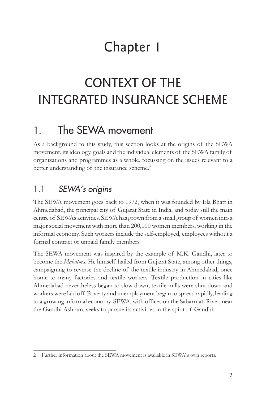# Chapter 1

# CONTEXT OF THE INTEGRATED INSURANCE SCHEME

## 1. The SEWA movement

As a background to this study, this section looks at the origins of the SEWA movement, its ideology, goals and the individual elements of the SEWA family of organizations and programmes as a whole, focussing on the issues relevant to a better understanding of the insurance scheme.<sup>2</sup>

## 1.1 *SEWA's origins*

The SEWA movement goes back to 1972, when it was founded by Ela Bhatt in Ahmedabad, the principal city of Gujarat State in India, and today still the main centre of SEWA's activities. SEWA has grown from a small group of women into a major social movement with more than 200,000 women members, working in the informal economy. Such workers include the self-employed, employees without a formal contract or unpaid family members.

The SEWA movement was inspired by the example of M.K. Gandhi, later to become the *Mahatma*. He himself hailed from Gujarat State, among other things, campaigning to reverse the decline of the textile industry in Ahmedabad, once home to many factories and textile workers. Textile production in cities like Ahmedabad nevertheless began to slow down, textile mills were shut down and workers were laid off. Poverty and unemployment began to spread rapidly, leading to a growing informal economy. SEWA, with offices on the Sabarmati River, near the Gandhi Ashram, seeks to pursue its activities in the spirit of Gandhi.

<sup>2</sup> Further information about the SEWA movement is available in SEWA' s own reports.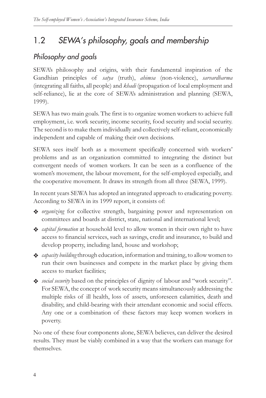## 1.2 *SEWA's philosophy, goals and membership*

#### *Philosophy and goals*

SEWA's philosophy and origins, with their fundamental inspiration of the Gandhian principles of *satya* (truth), *ahimsa* (non-violence), *sarvardharma* (integrating all faiths, all people) and *khadi* (propagation of local employment and self-reliance), lie at the core of SEWA's administration and planning (SEWA, 1999).

SEWA has two main goals. The first is to organize women workers to achieve full employment, i.e. work security, income security, food security and social security. The second is to make them individually and collectively self-reliant, economically independent and capable of making their own decisions.

SEWA sees itself both as a movement specifically concerned with workers' problems and as an organization committed to integrating the distinct but convergent needs of women workers. It can be seen as a confluence of the women's movement, the labour movement, for the self-employed especially, and the cooperative movement. It draws its strength from all three (SEWA, 1999).

In recent years SEWA has adopted an integrated approach to eradicating poverty. According to SEWA in its 1999 report, it consists of:

- v *organizing* for collective strength, bargaining power and representation on committees and boards at district, state, national and international level;
- v *capital formation* at household level to allow women in their own right to have access to financial services, such as savings, credit and insurance, to build and develop property, including land, house and workshop;
- v *capacity building*through education, information and training, to allow women to run their own businesses and compete in the market place by giving them access to market facilities;
- $\bullet$  *social security* based on the principles of dignity of labour and "work security". For SEWA, the concept of work security means simultaneously addressing the multiple risks of ill health, loss of assets, unforeseen calamities, death and disability, and child-bearing with their attendant economic and social effects. Any one or a combination of these factors may keep women workers in poverty.

No one of these four components alone, SEWA believes, can deliver the desired results. They must be viably combined in a way that the workers can manage for themselves.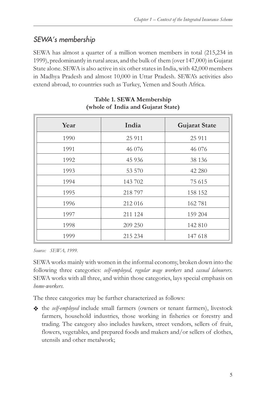### *SEWA's membership*

SEWA has almost a quarter of a million women members in total (215,234 in 1999), predominantly in rural areas, and the bulk of them (over 147,000) in Gujarat State alone. SEWA is also active in six other states in India, with 42,000 members in Madhya Pradesh and almost 10,000 in Uttar Pradesh. SEWA's activities also extend abroad, to countries such as Turkey, Yemen and South Africa.

| Year | India   | <b>Gujarat State</b> |
|------|---------|----------------------|
| 1990 | 25 9 11 | 25 911               |
| 1991 | 46 076  | 46 076               |
| 1992 | 45 9 36 | 38 1 36              |
| 1993 | 53 570  | 42 280               |
| 1994 | 143 702 | 75 615               |
| 1995 | 218 797 | 158 152              |
| 1996 | 212 016 | 162781               |
| 1997 | 211 124 | 159 204              |
| 1998 | 209 250 | 142 810              |
| 1999 | 215 234 | 147 618              |

#### **Table 1. SEWA Membership (whole of India and Gujarat State)**

*Source: SEWA, 1999.*

SEWA works mainly with women in the informal economy, broken down into the following three categories: *self-employed, regular wage workers* and *casual labourers.* SEWA works with all three, and within those categories, lays special emphasis on *home-workers*.

The three categories may be further characterized as follows:

v the *self-employed* include small farmers (owners or tenant farmers), livestock farmers, household industries, those working in fisheries or forestry and trading. The category also includes hawkers, street vendors, sellers of fruit, flowers, vegetables, and prepared foods and makers and/or sellers of clothes, utensils and other metalwork;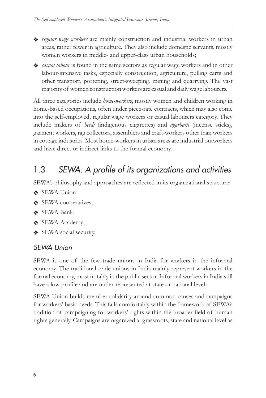- v *regular wage workers* are mainly construction and industrial workers in urban areas, rather fewer in agriculture. They also include domestic servants, mostly women workers in middle- and upper-class urban households;
- v *casual labour* is found in the same sectors as regular wage workers and in other labour-intensive tasks, especially construction, agriculture, pulling carts and other transport, portering, street-sweeping, mining and quarrying. The vast majority of women construction workers are casual and daily wage labourers.

All three categories include *home-workers*, mostly women and children working in home-based occupations, often under piece-rate contracts, which may also come into the self-employed, regular wage workers or casual labourers category. They include makers of *beedi* (indigenous cigarettes) and *agarbatti* (incense sticks), garment workers, rag collectors, assemblers and craft-workers other than workers in cottage industries. Most home-workers in urban areas are industrial outworkers and have direct or indirect links to the formal economy.

## 1.3 *SEWA: A profile of its organizations and activities*

SEWA's philosophy and approaches are reflected in its organizational structure:

- ◆ SEWA Union;
- ◆ SEWA cooperatives;
- SEWA Bank;
- SEWA Academy;
- ◆ SEWA social security.

#### *SEWA Union*

SEWA is one of the few trade unions in India for workers in the informal economy. The traditional trade unions in India mainly represent workers in the formal economy, most notably in the public sector. Informal workers in India still have a low profile and are under-represented at state or national level.

SEWA Union builds member solidarity around common causes and campaigns for workers' basic needs. This falls comfortably within the framework of SEWA's tradition of campaigning for workers' rights within the broader field of human rights generally. Campaigns are organized at grassroots, state and national level as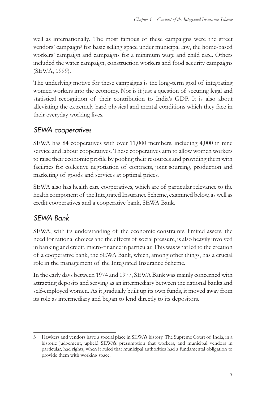well as internationally. The most famous of these campaigns were the street vendors' campaign<sup>3</sup> for basic selling space under municipal law, the home-based workers' campaign and campaigns for a minimum wage and child care. Others included the water campaign, construction workers and food security campaigns (SEWA, 1999).

The underlying motive for these campaigns is the long-term goal of integrating women workers into the economy. Nor is it just a question of securing legal and statistical recognition of their contribution to India's GDP. It is also about alleviating the extremely hard physical and mental conditions which they face in their everyday working lives.

#### *SEWA cooperatives*

SEWA has 84 cooperatives with over 11,000 members, including 4,000 in nine service and labour cooperatives. These cooperatives aim to allow women workers to raise their economic profile by pooling their resources and providing them with facilities for collective negotiation of contracts, joint sourcing, production and marketing of goods and services at optimal prices.

SEWA also has health care cooperatives, which are of particular relevance to the health component of the Integrated Insurance Scheme, examined below, as well as credit cooperatives and a cooperative bank, SEWA Bank.

### *SEWA Bank*

SEWA, with its understanding of the economic constraints, limited assets, the need for rational choices and the effects of social pressure, is also heavily involved in banking and credit, micro-finance in particular. This was what led to the creation of a cooperative bank, the SEWA Bank, which, among other things, has a crucial role in the management of the Integrated Insurance Scheme.

In the early days between 1974 and 1977, SEWA Bank was mainly concerned with attracting deposits and serving as an intermediary between the national banks and self-employed women. As it gradually built up its own funds, it moved away from its role as intermediary and began to lend directly to its depositors.

Hawkers and vendors have a special place in SEWA's history. The Supreme Court of India, in a historic judgement, upheld SEWA's presumption that workers, and municipal vendors in particular, had rights, when it ruled that municipal authorities had a fundamental obligation to provide them with working space.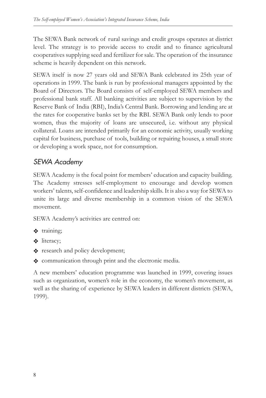The SEWA Bank network of rural savings and credit groups operates at district level. The strategy is to provide access to credit and to finance agricultural cooperatives supplying seed and fertilizer for sale. The operation of the insurance scheme is heavily dependent on this network.

SEWA itself is now 27 years old and SEWA Bank celebrated its 25th year of operations in 1999. The bank is run by professional managers appointed by the Board of Directors. The Board consists of self-employed SEWA members and professional bank staff. All banking activities are subject to supervision by the Reserve Bank of India (RBI), India's Central Bank. Borrowing and lending are at the rates for cooperative banks set by the RBI. SEWA Bank only lends to poor women, thus the majority of loans are unsecured, i.e. without any physical collateral. Loans are intended primarily for an economic activity, usually working capital for business, purchase of tools, building or repairing houses, a small store or developing a work space, not for consumption.

#### *SEWA Academy*

SEWA Academy is the focal point for members' education and capacity building. The Academy stresses self-employment to encourage and develop women workers' talents, self-confidence and leadership skills. It is also a way for SEWA to unite its large and diverse membership in a common vision of the SEWA movement.

SEWA Academy's activities are centred on:

- $\triangleleft$  training;
- ❖ literacy;
- ◆ research and policy development;
- communication through print and the electronic media.

A new members' education programme was launched in 1999, covering issues such as organization, women's role in the economy, the women's movement, as well as the sharing of experience by SEWA leaders in different districts (SEWA, 1999).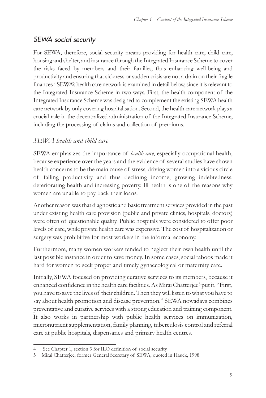#### *SEWA social security*

For SEWA, therefore, social security means providing for health care, child care, housing and shelter, and insurance through the Integrated Insurance Scheme to cover the risks faced by members and their families, thus enhancing well-being and productivity and ensuring that sickness or sudden crisis are not a drain on their fragile finances.4 SEWA's health care network is examined in detail below, since it is relevantto the Integrated Insurance Scheme in two ways. First, the health component of the Integrated Insurance Scheme was designed to complement the existing SEWA health care network by only covering hospitalisation. Second, the health care network plays a crucial role in the decentralized administration of the Integrated Insurance Scheme, including the processing of claims and collection of premiums.

#### *SEWA health and child care*

SEWA emphasizes the importance of *health care*, especially occupational health, because experience over the years and the evidence of several studies have shown health concerns to be the main cause of stress, driving women into a vicious circle of falling productivity and thus declining income, growing indebtedness, deteriorating health and increasing poverty. Ill health is one of the reasons why women are unable to pay back their loans.

Another reason was that diagnostic and basic treatment services provided in the past under existing health care provision (public and private clinics, hospitals, doctors) were often of questionable quality. Public hospitals were considered to offer poor levels of care, while private health care was expensive. The cost of hospitalization or surgery was prohibitive for most workers in the informal economy.

Furthermore, many women workers tended to neglect their own health until the last possible instance in order to save money. In some cases, social taboos made it hard for women to seek proper and timely gynaecological or maternity care.

Initially, SEWA focused on providing curative services to its members, because it enhanced confidence in the health care facilities. As Mirai Chatterjee<sup>5</sup> put it, "First, you have to save the lives of their children. Then they will listen to what you have to say about health promotion and disease prevention." SEWA nowadays combines preventative and curative services with a strong education and training component. It also works in partnership with public health services on immunization, micronutrient supplementation, family planning, tuberculosis control and referral care at public hospitals, dispensaries and primary health centres.

See Chapter 1, section 3 for ILO definition of social security.

<sup>5</sup> Mirai Chatterjee, former General Secretary of SEWA, quoted in Hauck, 1998.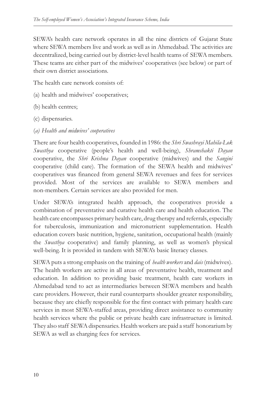SEWA's health care network operates in all the nine districts of Gujarat State where SEWA members live and work as well as in Ahmedabad. The activities are decentralized, being carried out by district-level health teams of SEWA members. These teams are either part of the midwives' cooperatives (see below) or part of their own district associations.

The health care network consists of:

- (a) health and midwives' cooperatives;
- (b) health centres;
- (c) dispensaries.
- (*a) Health and midwives' cooperatives*

There are four health cooperatives, founded in 1986: the *Shri Swashrayi Mahila-Lok Swasthya* cooperative (people's health and well-being), *Shramshakti Dayan* cooperative, the *Shri Krishna Dayan* cooperative (midwives) and the *Sangini* cooperative (child care). The formation of the SEWA health and midwives' cooperatives was financed from general SEWA revenues and fees for services provided. Most of the services are available to SEWA members and non-members. Certain services are also provided for men.

Under SEWA's integrated health approach, the cooperatives provide a combination of preventative and curative health care and health education. The health care encompasses primary health care, drug therapy and referrals, especially for tuberculosis, immunization and micronutrient supplementation. Health education covers basic nutrition, hygiene, sanitation, occupational health (mainly the *Swasthya* cooperative) and family planning, as well as women's physical well-being. It is provided in tandem with SEWA's basic literacy classes.

SEWA puts a strong emphasis on the training of *health workers* and *dais* (midwives). The health workers are active in all areas of preventative health, treatment and education. In addition to providing basic treatment, health care workers in Ahmedabad tend to act as intermediaries between SEWA members and health care providers. However, their rural counterparts shoulder greater responsibility, because they are chiefly responsible for the first contact with primary health care services in most SEWA-staffed areas, providing direct assistance to community health services where the public or private health care infrastructure is limited. They also staff SEWA dispensaries. Health workers are paid a staff honorarium by SEWA as well as charging fees for services.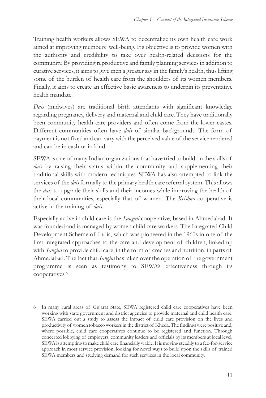Training health workers allows SEWA to decentralize its own health care work aimed at improving members' well-being. It's objective is to provide women with the authority and credibility to take over health-related decisions for the community. By providing reproductive and family planning services in addition to curative services, it aims to give men a greater say in the family's health, thus lifting some of the burden of health care from the shoulders of its women members. Finally, it aims to create an effective basic awareness to underpin its preventative health mandate.

*Dais* (midwives) are traditional birth attendants with significant knowledge regarding pregnancy, delivery and maternal and child care. They have traditionally been community health care providers and often come from the lower castes. Different communities often have *dais* of similar backgrounds. The form of payment is not fixed and can vary with the perceived value of the service rendered and can be in cash or in kind.

SEWA is one of many Indian organizations that have tried to build on the skills of *dais* by raising their status within the community and supplementing their traditional skills with modern techniques. SEWA has also attempted to link the services of the *dais* formally to the primary health care referral system. This allows the *dais* to upgrade their skills and their incomes while improving the health of their local communities, especially that of women. The *Krishna* cooperative is active in the training of *dais*.

Especially active in child care is the *Sangini* cooperative, based in Ahmedabad. It was founded and is managed by women child care workers. The Integrated Child Development Scheme of India, which was pioneered in the 1960s in one of the first integrated approaches to the care and development of children, linked up with *Sangini* to provide child care, in the form of creches and nutrition, in parts of Ahmedabad. The fact that *Sangini* has taken over the operation of the government programme is seen as testimony to SEWA's effectiveness through its cooperatives.6

<sup>6</sup> In many rural areas of Gujarat State, SEWA registered child care cooperatives have been working with state government and district agencies to provide maternal and child health care. SEWA carried out a study to assess the impact of child care provision on the lives and productivity of women tobacco workers in the district of Kheda. The findings were positive and, where possible, child care cooperatives continue to be registered and function. Through concerted lobbying of employers, community leaders and officials by its members at local level, SEWA is attempting to make child care financially viable. It is moving steadily to a fee-for-service approach in most service provision, looking for novel ways to build upon the skills of trained SEWA members and studying demand for such services in the local community.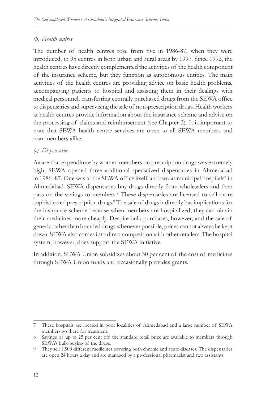#### *(b) Health centres*

The number of health centres rose from five in 1986-87, when they were introduced, to 95 centres in both urban and rural areas by 1997. Since 1992, the health centres have directly complemented the activities of the health component of the insurance scheme, but they function as autonomous entities. The main activities of the health centres are providing advice on basic health problems, accompanying patients to hospital and assisting them in their dealings with medical personnel, transferring centrally purchased drugs from the SEWA office to dispensaries and supervising the sale of non-prescription drugs. Health workers at health centres provide information about the insurance scheme and advise on the processing of claims and reimbursement (see Chapter 3). It is important to note that SEWA health centre services are open to all SEWA members and non-members alike.

#### *(c) Dispensaries*

Aware that expenditure by women members on prescription drugs was extremely high, SEWA opened three additional specialized dispensaries in Ahmedabad in 1986–87. One was at the SEWA office itself and two at municipal hospitals7 in Ahmedabad. SEWA dispensaries buy drugs directly from wholesalers and then pass on the savings to members.8 These dispensaries are licensed to sell more sophisticated prescription drugs.9 The sale of drugs indirectly has implications for the insurance scheme because when members are hospitalized, they can obtain their medicines more cheaply. Despite bulk purchases, however, and the sale of generic rather than branded drugs whenever possible, prices cannot always be kept down. SEWA also comes into direct competition with other retailers. The hospital system, however, does support the SEWA initiative.

In addition, SEWA Union subsidizes about 30 per cent of the cost of medicines through SEWA Union funds and occasionally provides grants.

<sup>7</sup> These hospitals are located in poor localities of Ahmedabad and a large number of SEWA members go there for treatment.

<sup>8</sup> Savings of up to 25 per cent off the standard retail price are available to members through SEWA's bulk-buying of the drugs.

<sup>9</sup> They sell 1,500 different medicines covering both chronic and acute diseases. The dispensaries are open 24 hours a day and are managed by a professional pharmacist and two assistants.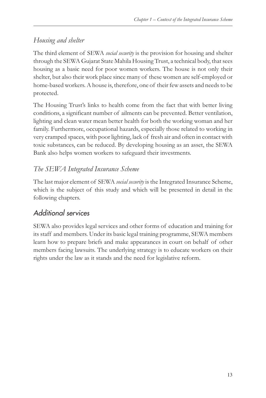#### *Housing and shelter*

The third element of SEWA *social security* is the provision for housing and shelter through the SEWA Gujarat State Mahila Housing Trust, a technical body, that sees housing as a basic need for poor women workers. The house is not only their shelter, but also their work place since many of these women are self-employed or home-based workers. A house is, therefore, one of their few assets and needs to be protected.

The Housing Trust's links to health come from the fact that with better living conditions, a significant number of ailments can be prevented. Better ventilation, lighting and clean water mean better health for both the working woman and her family. Furthermore, occupational hazards, especially those related to working in very cramped spaces, with poor lighting, lack of fresh air and often in contact with toxic substances, can be reduced. By developing housing as an asset, the SEWA Bank also helps women workers to safeguard their investments.

#### *The SEWA Integrated Insurance Scheme*

The last major element of SEWA *social security* is the Integrated Insurance Scheme, which is the subject of this study and which will be presented in detail in the following chapters.

#### *Additional services*

SEWA also provides legal services and other forms of education and training for its staff and members. Under its basic legal training programme, SEWA members learn how to prepare briefs and make appearances in court on behalf of other members facing lawsuits. The underlying strategy is to educate workers on their rights under the law as it stands and the need for legislative reform.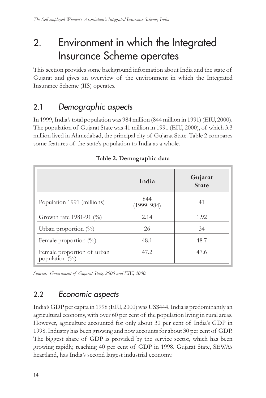## 2. Environment in which the Integrated Insurance Scheme operates

This section provides some background information about India and the state of Gujarat and gives an overview of the environment in which the Integrated Insurance Scheme (IIS) operates.

## 2.1 *Demographic aspects*

In 1999, India's total population was 984 million (844 million in 1991) (EIU, 2000). The population of Gujarat State was 41 million in 1991 (EIU, 2000), of which 3.3 million lived in Ahmedabad, the principal city of Gujarat State. Table 2 compares some features of the state's population to India as a whole.

|                                                 | India             | Gujarat<br><b>State</b> |
|-------------------------------------------------|-------------------|-------------------------|
| Population 1991 (millions)                      | 844<br>(1999:984) | 41                      |
| Growth rate 1981-91 (%)                         | 2.14              | 1.92                    |
| Urban proportion $(\%)$                         | 26                | 34                      |
| Female proportion $(\%)$                        | 48.1              | 48.7                    |
| Female proportion of urban<br>population $(\%)$ | 47.2              | 47.6                    |

**Table 2. Demographic data**

*Sources: Government of Gujarat State, 2000 and EIU, 2000.*

### 2.2 *Economic aspects*

India's GDP per capita in 1998 (EIU, 2000) was US\$444. India is predominantly an agricultural economy, with over 60 per cent of the population living in rural areas. However, agriculture accounted for only about 30 per cent of India's GDP in 1998. Industry has been growing and now accounts for about 30 per cent of GDP. The biggest share of GDP is provided by the service sector, which has been growing rapidly, reaching 40 per cent of GDP in 1998. Gujarat State, SEWA's heartland, has India's second largest industrial economy.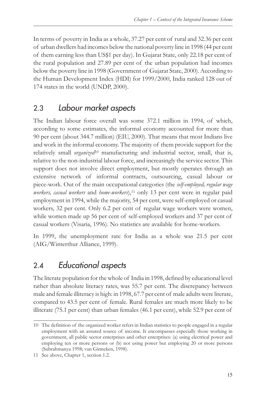In terms of poverty in India as a whole, 37.27 per cent of rural and 32.36 per cent of urban dwellers had incomes below the national poverty line in 1998 (44 per cent of them earning less than US\$1 per day). In Gujarat State, only 22.18 per cent of the rural population and 27.89 per cent of the urban population had incomes below the poverty line in 1998 (Government of Gujarat State, 2000). According to the Human Development Index (HDI) for 1999/2000, India ranked 128 out of 174 states in the world (UNDP, 2000).

### 2.3 *Labour market aspects*

The Indian labour force overall was some 372.1 million in 1994, of which, according to some estimates, the informal economy accounted for more than 90 per cent (about 344.7 million) (EIU, 2000). That means that most Indians live and work in the informal economy. The majority of them provide support for the relatively small *organized*<sup>10</sup> manufacturing and industrial sector, small, that is, relative to the non-industrial labour force, and increasingly the service sector. This support does not involve direct employment, but mostly operates through an extensive network of informal contracts, outsourcing, casual labour or piece-work. Out of the main occupational categories (the *self-employed, regular wage workers, casual workers* and *home-workers*),<sup>11</sup> only 13 per cent were in regular paid employment in 1994, while the majority, 54 per cent, were self-employed or casual workers, 32 per cent. Only 6.2 per cent of regular wage workers were women, while women made up 56 per cent of self-employed workers and 37 per cent of casual workers (Visaria, 1996). No statistics are available for home-workers.

In 1999, the unemployment rate for India as a whole was 21.5 per cent (AIG/Winterthur Alliance, 1999).

## 2.4 *Educational aspects*

The literate population for the whole of India in 1998, defined by educational level rather than absolute literacy rates, was 55.7 per cent. The discrepancy between male and female illiteracy is high: in 1998, 67.7 per cent of male adults were literate, compared to 43.5 per cent of female. Rural females are much more likely to be illiterate (75.1 per cent) than urban females (46.1 per cent), while 52.9 per cent of

<sup>10</sup> The definition of the organized worker refers in Indian statistics to people engaged in a regular employment with an assured source of income. It encompasses especially those working in government, all public sector enterprises and other enterprises: (a) using electrical power and employing ten or more persons or (b) not using power but employing 20 or more persons (Subrahmanya 1998; van Ginneken, 1998).

<sup>11</sup> See above, Chapter 1, section 1.2.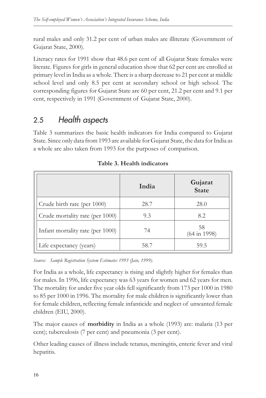rural males and only 31.2 per cent of urban males are illiterate (Government of Gujarat State, 2000).

Literacy rates for 1991 show that 48.6 per cent of all Gujarat State females were literate. Figures for girls in general education show that 62 per cent are enrolled at primary level in India as a whole. There is a sharp decrease to 21 per cent at middle school level and only 8.5 per cent at secondary school or high school. The corresponding figures for Gujarat State are 60 per cent, 21.2 per cent and 9.1 per cent, respectively in 1991 (Government of Gujarat State, 2000).

### 2.5 *Health aspects*

Table 3 summarizes the basic health indicators for India compared to Gujarat State. Since only data from 1993 are available for Gujarat State, the data for India as a whole are also taken from 1993 for the purposes of comparison.

|                                  | India | Gujarat<br><b>State</b>       |
|----------------------------------|-------|-------------------------------|
| Crude birth rate (per 1000)      | 28.7  | 28.0                          |
| Crude mortality rate (per 1000)  | 9.3   | 8.2                           |
| Infant mortality rate (per 1000) | 74    | 58<br>$(64 \text{ in } 1998)$ |
| Life expectancy (years)          | 58.7  | 59.5                          |

**Table 3. Health indicators**

*Source: Sample Registration System Estimates 1993 (Jain, 1999).*

For India as a whole, life expectancy is rising and slightly higher for females than for males. In 1996, life expectancy was 63 years for women and 62 years for men. The mortality for under five year olds fell significantly from 173 per 1000 in 1980 to 85 per 1000 in 1996. The mortality for male children is significantly lower than for female children, reflecting female infanticide and neglect of unwanted female children (EIU, 2000).

The major causes of **morbidity** in India as a whole (1993) are: malaria (13 per cent); tuberculosis (7 per cent) and pneumonia (3 per cent).

Other leading causes of illness include tetanus, meningitis, enteric fever and viral hepatitis.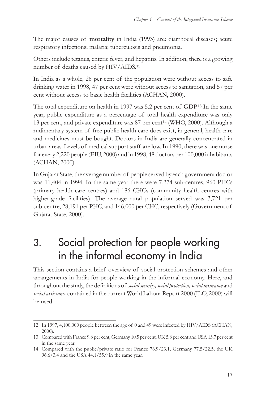The major causes of **mortality** in India (1993) are: diarrhoeal diseases; acute respiratory infections; malaria; tuberculosis and pneumonia.

Others include tetanus, enteric fever, and hepatitis. In addition, there is a growing number of deaths caused by HIV/AIDS.12

In India as a whole, 26 per cent of the population were without access to safe drinking water in 1998, 47 per cent were without access to sanitation, and 57 per cent without access to basic health facilities (ACHAN, 2000).

The total expenditure on health in 1997 was 5.2 per cent of GDP.13 In the same year, public expenditure as a percentage of total health expenditure was only 13 per cent, and private expenditure was 87 per cent14 (WHO, 2000). Although a rudimentary system of free public health care does exist, in general, health care and medicines must be bought. Doctors in India are generally concentrated in urban areas. Levels of medical support staff are low. In 1990, there was one nurse for every 2,220 people (EIU, 2000) and in 1998, 48 doctors per 100,000 inhabitants (ACHAN, 2000).

In Gujarat State, the average number of people served by each government doctor was 11,404 in 1994. In the same year there were 7,274 sub-centres, 960 PHCs (primary health care centres) and 186 CHCs (community health centres with higher-grade facilities). The average rural population served was 3,721 per sub-centre, 28,191 per PHC, and 146,000 per CHC, respectively (Government of Gujarat State, 2000).

## 3. Social protection for people working in the informal economy in India

This section contains a brief overview of social protection schemes and other arrangements in India for people working in the informal economy. Here, and throughout the study, the definitions of *social security, social protection, social insurance* and *social assistance* contained in the current World Labour Report 2000 (ILO, 2000) will be used.

<sup>12</sup> In 1997, 4,100,000 people between the age of 0 and 49 were infected by HIV/AIDS (ACHAN, 2000).

<sup>13</sup> Compared with France 9.8 per cent, Germany 10.5 per cent, UK 5.8 per cent and USA 13.7 per cent in the same year.

<sup>14</sup> Compared with the public/private ratio for France 76.9/23.1, Germany 77.5/22.5, the UK 96.6/3.4 and the USA 44.1/55.9 in the same year.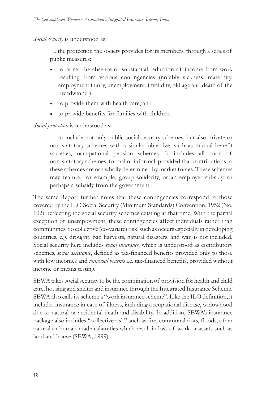*Social security* is understood as:

… the protection the society provides for its members, through a series of public measures:

- to offset the absence or substantial reduction of income from work resulting from various contingencies (notably sickness, maternity, employment injury, unemployment, invalidity, old age and death of the breadwinner);
- to provide them with health care, and
- to provide benefits for families with children.

#### *Social protection* is understood as:

… to include not only public social security schemes, but also private or non-statutory schemes with a similar objective, such as mutual benefit societies, occupational pension schemes. It includes all sorts of non-statutory schemes, formal or informal, provided that contributions to these schemes are not wholly determined by market forces. These schemes may feature, for example, group solidarity, or an employer subsidy, or perhaps a subsidy from the government.

The same Report further notes that these contingencies correspond to those covered by the ILO Social Security (Minimum Standards) Convention, 1952 (No. 102), reflecting the social security schemes existing at that time. With the partial exception of unemployment, these contingencies affect individuals rather than communities. So collective (co-variate) risk, such as occurs especially in developing countries, e.g. drought, bad harvests, natural disasters, and war, is not included. Social security here includes *social insurance*, which is understood as contributory schemes, *social assistance*, defined as tax-financed benefits provided only to those with low incomes and *universal benefits* i.e. tax-financed benefits, provided without income or means testing.

SEWA takes social security to be the combination of provision for health and child care, housing and shelter and insurance through the Integrated Insurance Scheme. SEWA also calls its scheme a "work insurance scheme". Like the ILO definition, it includes insurance in case of illness, including occupational disease, widowhood due to natural or accidental death and disability. In addition, SEWA's insurance package also includes "collective risk" such as fire, communal riots, floods, other natural or human-made calamities which result in loss of work or assets such as land and house (SEWA, 1999).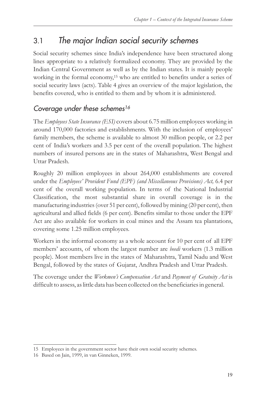## 3.1 *The major Indian social security schemes*

Social security schemes since India's independence have been structured along lines appropriate to a relatively formalized economy. They are provided by the Indian Central Government as well as by the Indian states. It is mainly people working in the formal economy,<sup>15</sup> who are entitled to benefits under a series of social security laws (acts). Table 4 gives an overview of the major legislation, the benefits covered, who is entitled to them and by whom it is administered.

#### *Coverage under these schemes16*

The *Employees State Insurance (ESI)* covers about 6.75 million employees working in around 170,000 factories and establishments. With the inclusion of employees' family members, the scheme is available to almost 30 million people, or 2.2 per cent of India's workers and 3.5 per cent of the overall population. The highest numbers of insured persons are in the states of Maharashtra, West Bengal and Uttar Pradesh.

Roughly 20 million employees in about 264,000 establishments are covered under the *Employees' Provident Fund (EPF) (and Miscellaneous Provisions) Act,* 6.4 per cent of the overall working population. In terms of the National Industrial Classification, the most substantial share in overall coverage is in the manufacturing industries (over 51 per cent), followed by mining (20 per cent), then agricultural and allied fields (6 per cent). Benefits similar to those under the EPF Act are also available for workers in coal mines and the Assam tea plantations, covering some 1.25 million employees.

Workers in the informal economy as a whole account for 10 per cent of all EPF members' accounts, of whom the largest number are *beedi* workers (1.3 million people). Most members live in the states of Maharashtra, Tamil Nadu and West Bengal, followed by the states of Gujarat, Andhra Pradesh and Uttar Pradesh.

The coverage under the *Workmen's Compensation Act* and *Payment of Gratuity Act* is difficult to assess, as little data has been collected on the beneficiaries in general.

<sup>15</sup> Employees in the government sector have their own social security schemes.

<sup>16</sup> Based on Jain, 1999, in van Ginneken, 1999.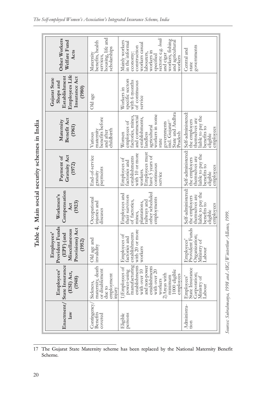| Table 4. Main social security schemes in India | Maternity<br>Benefit Ac<br>(1961)                                                         | benefits befor<br>maternity<br>childbirth<br>and after<br>Various                 | employees of<br>factories, min<br>and commerc<br>establishment<br>workers in sor<br>incl. Gujarat <sup>17</sup><br>State and And<br>governments<br>agricultural<br>landless<br>Pradesh<br>Women<br>state | Self-administe<br>the employers<br>themselves are<br>liable to pay t<br>benefits to<br>employees<br>eligible       |
|------------------------------------------------|-------------------------------------------------------------------------------------------|-----------------------------------------------------------------------------------|----------------------------------------------------------------------------------------------------------------------------------------------------------------------------------------------------------|--------------------------------------------------------------------------------------------------------------------|
|                                                | Gratuity Act<br>Payment of<br>(1972)                                                      | End-of-service<br>payments<br>gratuity                                            | Employees must<br>with 10 or more<br>have 5 years of<br>establishments<br>Employees of<br>factories and<br>continuous<br>workers.<br>service                                                             | Self-administered:<br>liable to pay the<br>themselves are<br>the employers<br>benefits to<br>employees<br>eligible |
|                                                | Compensation<br>Workmen's<br>(1923)<br>Act                                                | Occupational<br>injuries and<br>diseases                                          | other scheduled<br>Employees and<br>their survivors<br>employments<br>of factories,<br>railways and<br>plantations,<br>mines,                                                                            | Self-administered:<br>liable to pay the<br>themselves are<br>the employers<br>benefits to<br>employees<br>eligible |
|                                                | Provident Funds<br>Provisions) Act<br>Miscellaneous<br>Employees'<br>(EPF) (and<br>(1952) | Old age and<br>invalidity                                                         | with 20 or more<br>establishments<br>Employees of<br>factories and<br>workers                                                                                                                            | Provident Funds<br>Organization;<br>Employees'<br>Ministry of<br>Labour                                            |
|                                                | Enactment/State Insurance<br>Employees'<br>(ESI) Act,<br>(1948)                           | maternity, death<br>or disablement<br>employment<br>Sickness,<br>due to<br>injury | manufacturing<br>establishments<br>and non-power<br>establishments<br>1)Employees of<br>with over 10<br>1000 eligible<br>power-using<br>with over 20<br>2) Areas with<br>employees<br>minimum<br>workers | State Insurance<br>Corporation;<br>Employees'<br>Ministry of<br>Labour                                             |
|                                                | law                                                                                       | Contingency<br><b>Benefits</b><br>covered                                         | persons<br>Eligible                                                                                                                                                                                      | Administra-<br>tion                                                                                                |

and cigar <sup>C</sup><br>workers, fishing<br>and agricultural<br>workers specified<br>sectors: e.g. beedi Enacment/ Sate.<br>
Enaptoyes Prophoyes (Mondro Sate Sources ) Payment of Maternary Sciences and Other Workers<br>
Law (1994, Sinceres, deal (1995) (1992) (1923) (1972) (1993) Inspected Later Friedrich Maternal (1994, 1994)<br>
Co Mainly workers in the informal workers casual governments construction governments labourers,<br>workers in Central and Central and workers in economy: state specific sectors with 6 months of continuous Workers in service governments<br>incl. Gujarat<sup>17</sup><br>State and Andhra Self-administered: Self-administered: workers in some factories, mines,<br>and commercial liable to pay the benefits to and commercial establishments, the employers<br>themselves are Women<br>employees of landless<br>agricultural eligible<br>employees Pradesh state

*The Self-employed Women's Association's Integrated Insurance Scheme, India*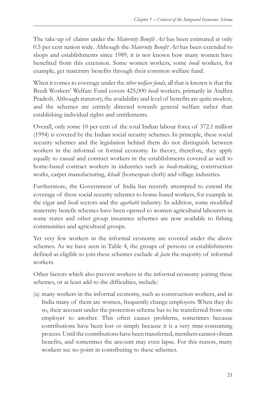The take-up of claims under the *Maternity Benefit Act* has been estimated at only 0.5 per cent nation wide. Although the *Maternity Benefit Act* has been extended to shops and establishments since 1989, it is not known how many women have benefited from this extension. Some women workers, some *beedi* workers, for example, get maternity benefits through their common welfare fund.

When it comes to coverage under the *other welfare funds*, all that is known is that the Beedi Workers' Welfare Fund covers 425,000 *beedi* workers, primarily in Andhra Pradesh. Although statutory, the availability and level of benefits are quite modest, and the schemes are entirely directed towards general welfare rather than establishing individual rights and entitlements.

Overall, only some 10 per cent of the total Indian labour force of 372.1 million (1994) is covered by the Indian social security schemes. In principle, these social security schemes and the legislation behind them do not distinguish between workers in the informal or formal economy. In theory, therefore, they apply equally to casual and contract workers in the establishments covered as well to home-based contract workers in industries such as *beedi-*making, construction works, carpet manufacturing, *khadi* (homespun cloth) and village industries.

Furthermore, the Government of India has recently attempted to extend the coverage of these social security schemes to home-based workers, for example in the cigar and *beedi* sectors and the *agarbatti* industry. In addition, some modified maternity benefit schemes have been opened to women agricultural labourers in some states and other group insurance schemes are now available to fishing communities and agricultural groups.

Yet very few workers in the informal economy are covered under the above schemes. As we have seen in Table 4, the groups of persons or establishments defined as eligible to join these schemes exclude *de facto* the majority of informal workers.

Other factors which also prevent workers in the informal economy joining these schemes, or at least add to the difficulties, include:

(a) many workers in the informal economy, such as construction workers, and in India many of them are women, frequently change employers. When they do so, their account under the protection scheme has to be transferred from one employer to another. This often causes problems, sometimes because contributions have been lost or simply because it is a very time-consuming process. Until the contributions have been transferred, members cannot obtain benefits, and sometimes the account may even lapse. For this reason, many workers see no point in contributing to these schemes.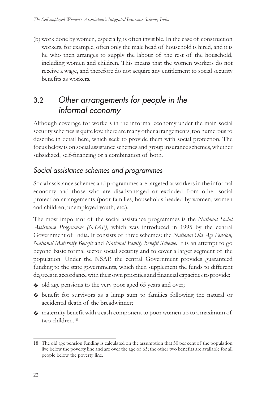(b) work done by women, especially, is often invisible. In the case of construction workers, for example, often only the male head of household is hired, and it is he who then arranges to supply the labour of the rest of the household, including women and children. This means that the women workers do not receive a wage, and therefore do not acquire any entitlement to social security benefits as workers.

## 3.2 *Other arrangements for people in the informal economy*

Although coverage for workers in the informal economy under the main social security schemes is quite low, there are many other arrangements, too numerous to describe in detail here, which seek to provide them with social protection. The focus below is on social assistance schemes and group insurance schemes, whether subsidized, self-financing or a combination of both.

### *Social assistance schemes and programmes*

Social assistance schemes and programmes are targeted at workers in the informal economy and those who are disadvantaged or excluded from other social protection arrangements (poor families, households headed by women, women and children, unemployed youth, etc.).

The most important of the social assistance programmes is the *National Social Assistance Programme (NSAP)*, which was introduced in 1995 by the central Government of India. It consists of three schemes: the *National Old Age Pension, National Maternity Benefit* and *National Family Benefit Scheme*. It is an attempt to go beyond basic formal sector social security and to cover a larger segment of the population. Under the NSAP, the central Government provides guaranteed funding to the state governments, which then supplement the funds to different degrees in accordance with their own priorities and financial capacities to provide:

- old age pensions to the very poor aged 65 years and over;
- v benefit for survivors as a lump sum to families following the natural or accidental death of the breadwinner;
- $\triangleleft$  maternity benefit with a cash component to poor women up to a maximum of two children.18

<sup>18</sup> The old age pension funding is calculated on the assumption that 50 per cent of the population live below the poverty line and are over the age of 65; the other two benefits are available for all people below the poverty line.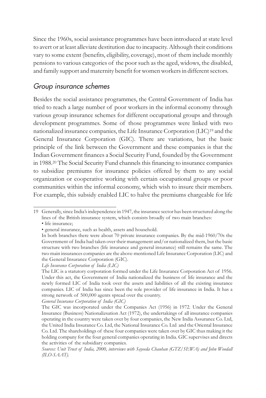Since the 1960s, social assistance programmes have been introduced at state level to avert or at least alleviate destitution due to incapacity. Although their conditions vary to some extent (benefits, eligibility, coverage), most of them include monthly pensions to various categories of the poor such as the aged, widows, the disabled, and family support and maternity benefit for women workers in different sectors.

#### *Group insurance schemes*

Besides the social assistance programmes, the Central Government of India has tried to reach a large number of poor workers in the informal economy through various group insurance schemes for different occupational groups and through development programmes. Some of those programmes were linked with two nationalized insurance companies, the Life Insurance Corporation (LIC)19 and the General Insurance Corporation (GIC). There are variations, but the basic principle of the link between the Government and these companies is that the Indian Government finances a Social Security Fund, founded by the Government in 1988.20 The Social Security Fund channels this financing to insurance companies to subsidize premiums for insurance policies offered by them to any social organization or cooperative working with certain occupational groups or poor communities within the informal economy, which wish to insure their members. For example, this subsidy enabled LIC to halve the premiums chargeable for life

*General Insurance Corporation of India (GIC)*

<sup>19</sup> Generally, since India's independence in 1947, the insurance sector has been structured along the lines of the British insurance system, which consists broadly of two main branches:

<sup>•</sup> life insurance;

<sup>•</sup> general insurance, such as health, assets and household.

In both branches there were about 70 private insurance companies. By the mid-1960/70s the Government of India had taken over their management and/or nationalized them, but the basic structure with two branches (life insurance and general insurance) still remains the same. The two main insurances companies are the above-mentioned Life Insurance Corporation (LIC) and the General Insurance Corporation (GIC).

*Life Insurance Corporation of India (LIC)*

The LIC is a statutory corporation formed under the Life Insurance Corporation Act of 1956. Under this act, the Government of India nationalized the business of life insurance and the newly formed LIC of India took over the assets and liabilities of all the existing insurance companies. LIC of India has since been the sole provider of life insurance in India. It has a strong network of 500,000 agents spread over the country.

The GIC was incorporated under the Companies Act (1956) in 1972. Under the General Insurance (Business) Nationalizsation Act (1972), the undertakings of all insurance companies operating in the country were taken over by four companies, the New India Assurance Co. Ltd, the United India Insurance Co. Ltd, the National Insurance Co. Ltd and the Oriental Insurance Co. Ltd. The shareholdings of these four companies were taken over by GIC thus making it the holding company for the four general companies operating in India. GIC supervises and directs the activities of the subsidiary companies.

*Sources: Unit Trust of India, 2000, interviews with Sayeeda Chauhan (GTZ/SEWA) and John Woodall (ILO-SAAT).*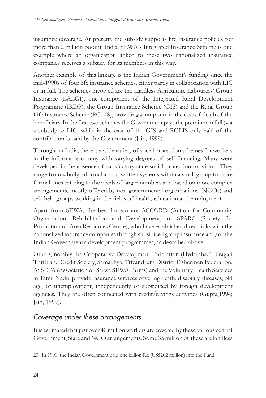insurance coverage. At present, the subsidy supports life insurance policies for more than 2 million poor in India. SEWA's Integrated Insurance Scheme is one example where an organization linked to these two nationalized insurance companies receives a subsidy for its members in this way.

Another example of this linkage is the Indian Government's funding since the mid-1990s of four life insurance schemes, either partly in collaboration with LIC or in full. The schemes involved are the Landless Agriculture Labourers' Group Insurance (LALGI), one component of the Integrated Rural Development Programme (IRDP), the Group Insurance Scheme (GIS) and the Rural Group Life Insurance Scheme (RGLIS), providing a lump sum in the case of death of the beneficiary. In the first two schemes the Government pays the premium in full (via a subsidy to LIC) while in the case of the GIS and RGLIS only half of the contribution is paid by the Government (Jain, 1999).

Throughout India, there is a wide variety of social protection schemes for workers in the informal economy with varying degrees of self-financing. Many were developed in the absence of satisfactory state social protection provision. They range from wholly informal and unwritten systems within a small group to more formal ones catering to the needs of larger numbers and based on more complex arrangements, mostly offered by non-governmental organizations (NGOs) and self-help groups working in the fields of health, education and employment.

Apart from SEWA, the best known are ACCORD (Action for Community Organization, Rehabilitation and Development) or SPARC (Society for Promotion of Area Resources Centre), who have established direct links with the nationalized insurance companies through subsidized group insurance and/or the Indian Government's development programmes, as described above.

Others, notably the Cooperative Development Federation (Hyderabad), Pragati Thrift and Credit Society, Samakhya, Trivandrum District Fishermen Federation, ASSEFA (Association of Sarwa SEWA Farms) and the Voluntary Health Services in Tamil Nadu, provide insurance services covering death, disability, diseases, old age, or unemployment, independently or subsidized by foreign development agencies. They are often connected with credit/savings activities (Gupta,1994; Jain, 1999).

#### *Coverage under these arrangements*

It is estimated that just over 40 million workers are covered by these various central Government, State and NGO arrangements. Some 35 million of these are landless

<sup>20</sup> In 1990, the Indian Government paid one billion Rs. (US\$202 million) into the Fund.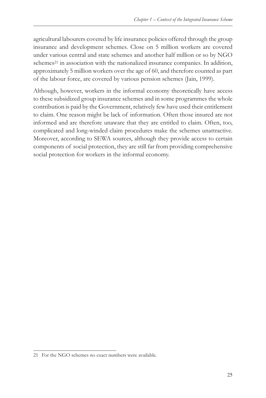agricultural labourers covered by life insurance policies offered through the group insurance and development schemes. Close on 5 million workers are covered under various central and state schemes and another half million or so by NGO schemes<sup>21</sup> in association with the nationalized insurance companies. In addition, approximately 5 million workers over the age of 60, and therefore counted as part of the labour force, are covered by various pension schemes (Jain, 1999).

Although, however, workers in the informal economy theoretically have access to these subsidized group insurance schemes and in some programmes the whole contribution is paid by the Government, relatively few have used their entitlement to claim. One reason might be lack of information. Often those insured are not informed and are therefore unaware that they are entitled to claim. Often, too, complicated and long-winded claim procedures make the schemes unattractive. Moreover, according to SEWA sources, although they provide access to certain components of social protection, they are still far from providing comprehensive social protection for workers in the informal economy.

<sup>21</sup> For the NGO schemes no exact numbers were available.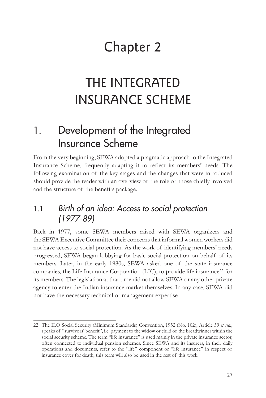# Chapter 2

# THE INTEGRATED INSURANCE SCHEME

## 1. Development of the Integrated Insurance Scheme

From the very beginning, SEWA adopted a pragmatic approach to the Integrated Insurance Scheme, frequently adapting it to reflect its members' needs. The following examination of the key stages and the changes that were introduced should provide the reader with an overview of the role of those chiefly involved and the structure of the benefits package.

## 1.1 *Birth of an idea: Access to social protection (1977-89)*

Back in 1977, some SEWA members raised with SEWA organizers and the SEWA Executive Committee their concerns that informal women workers did not have access to social protection. As the work of identifying members' needs progressed, SEWA began lobbying for basic social protection on behalf of its members. Later, in the early 1980s, SEWA asked one of the state insurance companies, the Life Insurance Corporation (LIC), to provide life insurance<sup>22</sup> for its members. The legislation at that time did not allow SEWA or any other private agency to enter the Indian insurance market themselves. In any case, SEWA did not have the necessary technical or management expertise.

<sup>22</sup> The ILO Social Security (Minimum Standards) Convention, 1952 (No. 102), Article 59 *et seq.*, speaks of "survivors' benefit", i.e. payment to the widow or child of the breadwinner within the social security scheme. The term "life insurance" is used mainly in the private insurance sector, often connected to individual pension schemes. Since SEWA and its insurers, in their daily operations and documents, refer to the "life" component or "life insurance" in respect of insurance cover for death, this term will also be used in the rest of this work.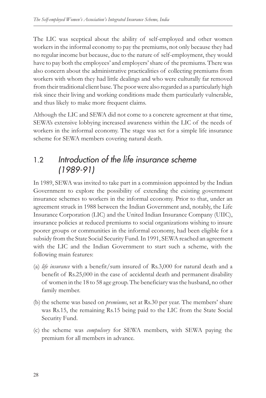The LIC was sceptical about the ability of self-employed and other women workers in the informal economy to pay the premiums, not only because they had no regular income but because, due to the nature of self-employment, they would have to pay both the employees' and employers' share of the premiums. There was also concern about the administrative practicalities of collecting premiums from workers with whom they had little dealings and who were culturally far removed from their traditional client base. The poor were also regarded as a particularly high risk since their living and working conditions made them particularly vulnerable, and thus likely to make more frequent claims.

Although the LIC and SEWA did not come to a concrete agreement at that time, SEWA's extensive lobbying increased awareness within the LIC of the needs of workers in the informal economy. The stage was set for a simple life insurance scheme for SEWA members covering natural death.

## 1.2 *Introduction of the life insurance scheme (1989-91)*

In 1989, SEWA was invited to take part in a commission appointed by the Indian Government to explore the possibility of extending the existing government insurance schemes to workers in the informal economy. Prior to that, under an agreement struck in 1988 between the Indian Government and, notably, the Life Insurance Corporation (LIC) and the United Indian Insurance Company (UIIC), insurance policies at reduced premiums to social organizations wishing to insure poorer groups or communities in the informal economy, had been eligible for a subsidy from the State Social Security Fund. In 1991, SEWA reached an agreement with the LIC and the Indian Government to start such a scheme, with the following main features:

- (a) *life insurance* with a benefit/sum insured of Rs.3,000 for natural death and a benefit of Rs.25,000 in the case of accidental death and permanent disability of women in the 18 to 58 age group. The beneficiary was the husband, no other family member.
- (b) the scheme was based on *premiums*, set at Rs.30 per year. The members' share was Rs.15, the remaining Rs.15 being paid to the LIC from the State Social Security Fund.
- (c) the scheme was *compulsory* for SEWA members, with SEWA paying the premium for all members in advance.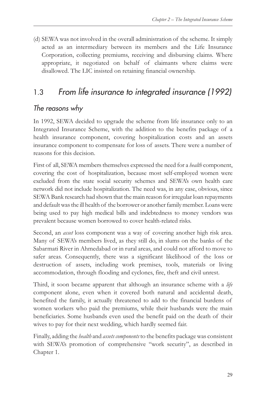(d) SEWA was not involved in the overall administration of the scheme. It simply acted as an intermediary between its members and the Life Insurance Corporation, collecting premiums, receiving and disbursing claims. Where appropriate, it negotiated on behalf of claimants where claims were disallowed. The LIC insisted on retaining financial ownership.

## 1.3 *From life insurance to integrated insurance (1992)*

#### *The reasons why*

In 1992, SEWA decided to upgrade the scheme from life insurance only to an Integrated Insurance Scheme, with the addition to the benefits package of a health insurance component, covering hospitalization costs and an assets insurance component to compensate for loss of assets. There were a number of reasons for this decision.

First of all, SEWA members themselves expressed the need for a *health* component, covering the cost of hospitalization, because most self-employed women were excluded from the state social security schemes and SEWA's own health care network did not include hospitalization. The need was, in any case, obvious, since SEWA Bank research had shown that the main reason for irregular loan repayments and default was the ill health of the borrower or another family member. Loans were being used to pay high medical bills and indebtedness to money vendors was prevalent because women borrowed to cover health-related risks.

Second, an *asset* loss component was a way of covering another high risk area. Many of SEWA's members lived, as they still do, in slums on the banks of the Sabarmati River in Ahmedabad or in rural areas, and could not afford to move to safer areas. Consequently, there was a significant likelihood of the loss or destruction of assets, including work premises, tools, materials or living accommodation, through flooding and cyclones, fire, theft and civil unrest.

Third, it soon became apparent that although an insurance scheme with a *life* component alone, even when it covered both natural and accidental death, benefited the family, it actually threatened to add to the financial burdens of women workers who paid the premiums, while their husbands were the main beneficiaries. Some husbands even used the benefit paid on the death of their wives to pay for their next wedding, which hardly seemed fair.

Finally, adding the *health* and *assets components* to the benefits package was consistent with SEWA's promotion of comprehensive "work security", as described in Chapter 1.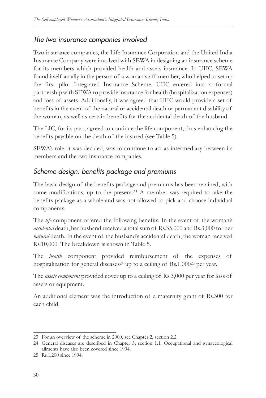### *The two insurance companies involved*

Two insurance companies, the Life Insurance Corporation and the United India Insurance Company were involved with SEWA in designing an insurance scheme for its members which provided health and assets insurance. In UIIC, SEWA found itself an ally in the person of a woman staff member, who helped to set up the first pilot Integrated Insurance Scheme. UIIC entered into a formal partnership with SEWA to provide insurance for health (hospitalization expenses) and loss of assets. Additionally, it was agreed that UIIC would provide a set of benefits in the event of the natural or accidental death or permanent disability of the woman, as well as certain benefits for the accidental death of the husband.

The LIC, for its part, agreed to continue the life component, thus enhancing the benefits payable on the death of the insured (see Table 5).

SEWA's role, it was decided, was to continue to act as intermediary between its members and the two insurance companies.

### *Scheme design: benefits package and premiums*

The basic design of the benefits package and premiums has been retained, with some modifications, up to the present.23 A member was required to take the benefits package as a whole and was not allowed to pick and choose individual components.

The *life* component offered the following benefits. In the event of the woman's *accidental* death, her husband received a total sum of Rs.35,000 and Rs.3,000 for her *natural* death. In the event of the husband's accidental death, the woman received Rs.10,000. The breakdown is shown in Table 5.

The *health* component provided reimbursement of the expenses of hospitalization for general diseases<sup>24</sup> up to a ceiling of Rs.1,000<sup>25</sup> per year.

The *assets component* provided cover up to a ceiling of Rs.3,000 per year for loss of assets or equipment.

An additional element was the introduction of a maternity grant of Rs.300 for each child.

<sup>23</sup> For an overview of the scheme in 2000, see Chapter 2, section 2.2.

<sup>24</sup> General diseases are described in Chapter 3, section 1.1. Occupational and gynaecological ailments have also been covered since 1994.

<sup>25</sup> Rs.1,200 since 1994.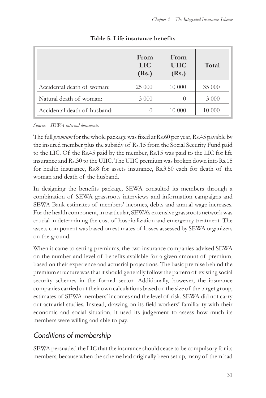|                              | From<br><b>LIC</b><br>(Rs.) | From<br><b>UIIC</b><br>(Rs.) | Total   |
|------------------------------|-----------------------------|------------------------------|---------|
| Accidental death of woman:   | 25 000                      | 10 000                       | 35 000  |
| Natural death of woman:      | 3 0 0 0                     |                              | 3 0 0 0 |
| Accidental death of husband: | $\left( \right)$            | 10 000                       | 10 000  |

### **Table 5. Life insurance benefits**

*Source: SEWA internal documents.*

The full *premium*for the whole package was fixed at Rs.60 per year, Rs.45 payable by the insured member plus the subsidy of Rs.15 from the Social Security Fund paid to the LIC. Of the Rs.45 paid by the member, Rs.15 was paid to the LIC for life insurance and Rs.30 to the UIIC. The UIIC premium was broken down into Rs.15 for health insurance, Rs.8 for assets insurance, Rs.3.50 each for death of the woman and death of the husband.

In designing the benefits package, SEWA consulted its members through a combination of SEWA grassroots interviews and information campaigns and SEWA Bank estimates of members' incomes, debts and annual wage increases. For the health component, in particular, SEWA's extensive grassroots network was crucial in determining the cost of hospitalization and emergency treatment. The assets component was based on estimates of losses assessed by SEWA organizers on the ground.

When it came to setting premiums, the two insurance companies advised SEWA on the number and level of benefits available for a given amount of premium, based on their experience and actuarial projections. The basic premise behind the premium structure was that it should generally follow the pattern of existing social security schemes in the formal sector. Additionally, however, the insurance companies carried out their own calculations based on the size of the target group, estimates of SEWA members' incomes and the level of risk. SEWA did not carry out actuarial studies. Instead, drawing on its field workers' familiarity with their economic and social situation, it used its judgement to assess how much its members were willing and able to pay.

### *Conditions of membership*

SEWA persuaded the LIC that the insurance should cease to be compulsory for its members, because when the scheme had originally been set up, many of them had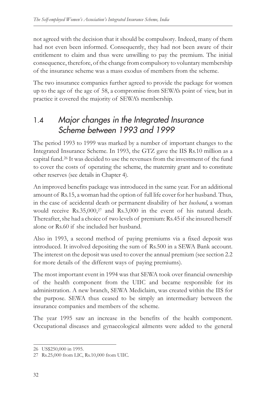not agreed with the decision that it should be compulsory. Indeed, many of them had not even been informed. Consequently, they had not been aware of their entitlement to claim and thus were unwilling to pay the premium. The initial consequence, therefore, of the change from compulsory to voluntary membership of the insurance scheme was a mass exodus of members from the scheme.

The two insurance companies further agreed to provide the package for women up to the age of the age of 58, a compromise from SEWA's point of view, but in practice it covered the majority of SEWA's membership.

## 1.4 *Major changes in the Integrated Insurance Scheme between 1993 and 1999*

The period 1993 to 1999 was marked by a number of important changes to the Integrated Insurance Scheme. In 1993, the GTZ gave the IIS Rs.10 million as a capital fund.26 It was decided to use the revenues from the investment of the fund to cover the costs of operating the scheme, the maternity grant and to constitute other reserves (see details in Chapter 4).

An improved benefits package was introduced in the same year. For an additional amount of Rs.15, a woman had the option of full life cover for her husband. Thus, in the case of accidental death or permanent disability of her *husband*, a woman would receive Rs.35,000,<sup>27</sup> and Rs.3,000 in the event of his natural death. Thereafter, she had a choice of two levels of premium: Rs.45 if she insured herself alone or Rs.60 if she included her husband.

Also in 1993, a second method of paying premiums via a fixed deposit was introduced. It involved depositing the sum of Rs.500 in a SEWA Bank account. The interest on the deposit was used to cover the annual premium (see section 2.2 for more details of the different ways of paying premiums).

The most important event in 1994 was that SEWA took over financial ownership of the health component from the UIIC and became responsible for its administration. A new branch, SEWA Mediclaim, was created within the IIS for the purpose. SEWA thus ceased to be simply an intermediary between the insurance companies and members of the scheme.

The year 1995 saw an increase in the benefits of the health component. Occupational diseases and gynaecological ailments were added to the general

<sup>26</sup> US\$250,000 in 1995.

<sup>27</sup> Rs.25,000 from LIC, Rs.10,000 from UIIC.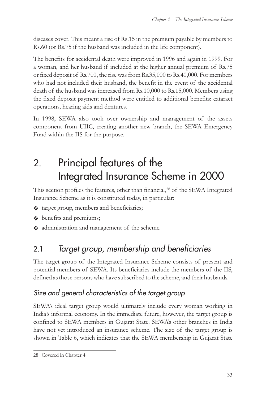diseases cover. This meant a rise of Rs.15 in the premium payable by members to Rs.60 (or Rs.75 if the husband was included in the life component).

The benefits for accidental death were improved in 1996 and again in 1999. For a woman, and her husband if included at the higher annual premium of Rs.75 or fixed deposit of Rs.700, the rise was from Rs.35,000 to Rs.40,000. For members who had not included their husband, the benefit in the event of the accidental death of the husband was increased from Rs.10,000 to Rs.15,000. Members using the fixed deposit payment method were entitled to additional benefits: cataract operations, hearing aids and dentures.

In 1998, SEWA also took over ownership and management of the assets component from UIIC, creating another new branch, the SEWA Emergency Fund within the IIS for the purpose.

# 2. Principal features of the Integrated Insurance Scheme in 2000

This section profiles the features, other than financial,<sup>28</sup> of the SEWA Integrated Insurance Scheme as it is constituted today, in particular:

- $\triangleleft$  target group, members and beneficiaries;
- $\triangleleft$  benefits and premiums;
- administration and management of the scheme.

## 2.1 *Target group, membership and beneficiaries*

The target group of the Integrated Insurance Scheme consists of present and potential members of SEWA. Its beneficiaries include the members of the IIS, defined as those persons who have subscribed to the scheme, and their husbands.

### *Size and general characteristics of the target group*

SEWA's ideal target group would ultimately include every woman working in India's informal economy. In the immediate future, however, the target group is confined to SEWA members in Gujarat State. SEWA's other branches in India have not yet introduced an insurance scheme. The size of the target group is shown in Table 6, which indicates that the SEWA membership in Gujarat State

<sup>28</sup> Covered in Chapter 4.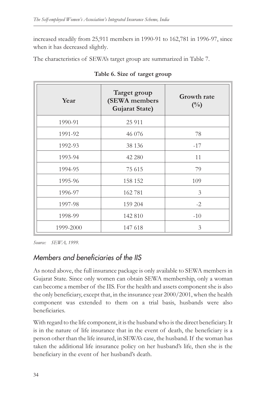increased steadily from 25,911 members in 1990-91 to 162,781 in 1996-97, since when it has decreased slightly.

The characteristics of SEWA's target group are summarized in Table 7.

| Year      | Target group<br>(SEWA members<br>Gujarat State) | <b>Growth rate</b><br>$\binom{0}{0}$ |
|-----------|-------------------------------------------------|--------------------------------------|
| 1990-91   | 25 911                                          |                                      |
| 1991-92   | 46 076                                          | 78                                   |
| 1992-93   | 38 1 36                                         | $-17$                                |
| 1993-94   | 42 280                                          | 11                                   |
| 1994-95   | 75 615                                          | 79                                   |
| 1995-96   | 158 152                                         | 109                                  |
| 1996-97   | 162 781                                         | 3                                    |
| 1997-98   | 159 204                                         | $-2$                                 |
| 1998-99   | 142 810                                         | $-10$                                |
| 1999-2000 | 147 618                                         | 3                                    |

**Table 6. Size of target group**

*Source: SEWA, 1999.*

### *Members and beneficiaries of the IIS*

As noted above, the full insurance package is only available to SEWA members in Gujarat State. Since only women can obtain SEWA membership, only a woman can become a member of the IIS. For the health and assets component she is also the only beneficiary, except that, in the insurance year 2000/2001, when the health component was extended to them on a trial basis, husbands were also beneficiaries.

With regard to the life component, it is the husband who is the direct beneficiary. It is in the nature of life insurance that in the event of death, the beneficiary is a person other than the life insured, in SEWA's case, the husband. If the woman has taken the additional life insurance policy on her husband's life, then she is the beneficiary in the event of her husband's death.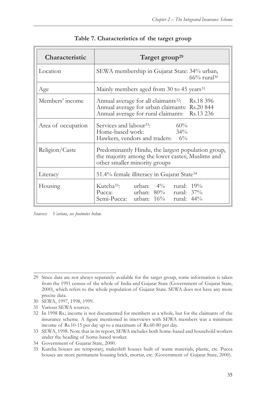| Characteristic     | Target group <sup>29</sup>                                                                                                                                   |  |  |  |  |
|--------------------|--------------------------------------------------------------------------------------------------------------------------------------------------------------|--|--|--|--|
| Location           | SEWA membership in Gujarat State: 34% urban,<br>$66\%$ rural <sup>30</sup>                                                                                   |  |  |  |  |
| Age                | Mainly members aged from 30 to 45 years <sup>31</sup>                                                                                                        |  |  |  |  |
| Members' income    | Annual average for all claimants <sup>32</sup> : Rs.18 396<br>Annual average for urban claimants: Rs.20 844<br>Annual average for rural claimants: Rs.13 236 |  |  |  |  |
| Area of occupation | Services and labour <sup>33</sup> :<br>60%<br>Home-based work:<br>$34\%$<br>Hawkers, vendors and traders: 6%                                                 |  |  |  |  |
| Religion/Caste     | Predominantly Hindu, the largest population group,<br>the majority among the lower castes; Muslims and<br>other smaller minority groups                      |  |  |  |  |
| Literacy           | 51.4% female illiteracy in Gujarat State <sup>34</sup>                                                                                                       |  |  |  |  |
| Housing            | Kutcha <sup>35</sup> : urban: 4% rural: 19%<br>Pucca: urban: 80% rural: 37%<br>Semi-Pucca: urban: 16% rural: 44%                                             |  |  |  |  |

#### **Table 7. Characteristics of the target group**

*Sources: Various, see footnotes below.*

<sup>29</sup> Since data are not always separately available for the target group, some information is taken from the 1991 census of the whole of India and Gujarat State (Government of Gujarat State, 2000), which refers to the whole population of Gujarat State. SEWA does not have any more precise data.

<sup>30</sup> SEWA, 1997, 1998, 1999.

<sup>31</sup> Various SEWA sources.

<sup>32</sup> In 1998 Rs.; income is not documented for members as a whole, but for the claimants of the insurance scheme. A figure mentioned in interviews with SEWA members was a minimum income of Rs.10-15 per day up to a maximum of Rs.60-80 per day.

<sup>33</sup> SEWA, 1998. Note that in its report, SEWA includes both home-based and household workers under the heading of home-based worker.

<sup>34</sup> Government of Gujarat State, 2000.

<sup>35</sup> Kutcha houses are temporary, makeshift houses built of waste materials, plastic, etc. Pucca houses are more permanent housing brick, mortar, etc. (Government of Gujarat State, 2000).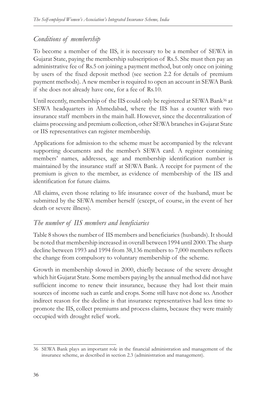### *Conditions of membership*

To become a member of the IIS, it is necessary to be a member of SEWA in Gujarat State, paying the membership subscription of Rs.5. She must then pay an administrative fee of Rs.5 on joining a payment method, but only once on joining by users of the fixed deposit method (see section 2.2 for details of premium payment methods). A new member is required to open an account in SEWA Bank if she does not already have one, for a fee of Rs.10.

Until recently, membership of the IIS could only be registered at SEWA Bank<sup>36</sup> at SEWA headquarters in Ahmedabad, where the IIS has a counter with two insurance staff members in the main hall. However, since the decentralization of claims processing and premium collection, other SEWA branches in Gujarat State or IIS representatives can register membership.

Applications for admission to the scheme must be accompanied by the relevant supporting documents and the member's SEWA card. A register containing members' names, addresses, age and membership identification number is maintained by the insurance staff at SEWA Bank. A receipt for payment of the premium is given to the member, as evidence of membership of the IIS and identification for future claims.

All claims, even those relating to life insurance cover of the husband, must be submitted by the SEWA member herself (except, of course, in the event of her death or severe illness).

### *The number of IIS members and beneficiaries*

Table 8 shows the number of IIS members and beneficiaries (husbands). It should be noted that membership increased in overall between 1994 until 2000. The sharp decline between 1993 and 1994 from 38,136 members to 7,000 members reflects the change from compulsory to voluntary membership of the scheme.

Growth in membership slowed in 2000, chiefly because of the severe drought which hit Gujarat State. Some members paying by the annual method did not have sufficient income to renew their insurance, because they had lost their main sources of income such as cattle and crops. Some still have not done so. Another indirect reason for the decline is that insurance representatives had less time to promote the IIS, collect premiums and process claims, because they were mainly occupied with drought relief work.

<sup>36</sup> SEWA Bank plays an important role in the financial administration and management of the insurance scheme, as described in section 2.3 (administration and management).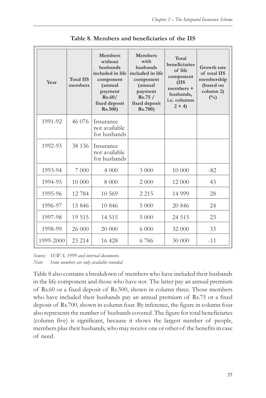| Year      | <b>Total IIS</b><br>members | <b>Members</b><br><b>Members</b><br>without<br>with<br>husbands<br>husbands<br>included in life<br>included in life<br>component<br>component<br>(annual<br>(annual<br>payment<br>payment<br>Rs.60/<br>Rs.75/<br>fixed deposit<br>fixed deposit<br>Rs.500<br>Rs.700) |         | Total<br>beneficiaries<br>of life<br>component<br>(IIS<br>members +<br>husbands,<br>i.e. columns<br>$2 + 4$ | Growth rate<br>of total IIS<br>membership<br>(based on<br>column 2)<br>$\binom{0}{0}$ |
|-----------|-----------------------------|----------------------------------------------------------------------------------------------------------------------------------------------------------------------------------------------------------------------------------------------------------------------|---------|-------------------------------------------------------------------------------------------------------------|---------------------------------------------------------------------------------------|
| 1991-92   | 46 076                      | Insurance<br>not available<br>for husbands                                                                                                                                                                                                                           |         |                                                                                                             |                                                                                       |
| 1992-93   | 38 1 36                     | Insurance<br>not available<br>for husbands                                                                                                                                                                                                                           |         |                                                                                                             |                                                                                       |
| 1993-94   | 7 000                       | 4 000                                                                                                                                                                                                                                                                | 3 000   | 10 000                                                                                                      | $-82$                                                                                 |
| 1994-95   | 10 000                      | 8 0 0 0                                                                                                                                                                                                                                                              | 2 000   | 12 000                                                                                                      | 43                                                                                    |
| 1995-96   | 12784                       | 10 569                                                                                                                                                                                                                                                               | 2 2 1 5 | 14 9 9 9                                                                                                    | 28                                                                                    |
| 1996-97   | 15 846                      | 10 846                                                                                                                                                                                                                                                               | 5 000   | 20 846                                                                                                      | 24                                                                                    |
| 1997-98   | 19 515                      | 14 5 15                                                                                                                                                                                                                                                              | 5 000   | 24 5 15                                                                                                     | 23                                                                                    |
| 1998-99   | 26 000                      | 20 000                                                                                                                                                                                                                                                               | 6 000   | 32 000                                                                                                      | 33                                                                                    |
| 1999-2000 | 23 214                      | 16 428                                                                                                                                                                                                                                                               | 6 786   | 30 000                                                                                                      | $-11$                                                                                 |

**Table 8. Members and beneficiaries of the IIS**

*Source: SEWA, 1999 and internal documents.*

*Note: Some numbers are only available rounded.*

Table 8 also contains a breakdown of members who have included their husbands in the life component and those who have not. The latter pay an annual premium of Rs.60 or a fixed deposit of Rs.500, shown in column three. Those members who have included their husbands pay an annual premium of Rs.75 or a fixed deposit of Rs.700, shown in column four. By inference, the figure in column four also represents the number of husbands covered. The figure for total beneficiaries (column five) is significant, because it shows the largest number of people, members plus their husbands, who may receive one or other of the benefits in case of need.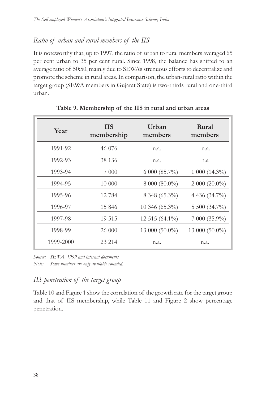### *Ratio of urban and rural members of the IIS*

It is noteworthy that, up to 1997, the ratio of urban to rural members averaged 65 per cent urban to 35 per cent rural. Since 1998, the balance has shifted to an average ratio of 50:50, mainly due to SEWA's strenuous efforts to decentralize and promote the scheme in rural areas. In comparison, the urban-rural ratio within the target group (SEWA members in Gujarat State) is two-thirds rural and one-third urban.

| Year      | <b>IIS</b><br>membership | Urban<br>members | Rural<br>members |
|-----------|--------------------------|------------------|------------------|
| 1991-92   | 46 076                   | n.a.             | n.a.             |
| 1992-93   | 38 136                   | n.a.             | n.a              |
| 1993-94   | 7 000                    | $6000(85.7\%)$   | $1000(14.3\%)$   |
| 1994-95   | 10 000                   | 8 000 (80.0%)    | $2000(20.0\%)$   |
| 1995-96   | 12 7 84                  | 8 348 (65.3%)    | 4 436 (34.7%)    |
| 1996-97   | 15846                    | 10 346 (65.3%)   | 5 500 (34.7%)    |
| 1997-98   | 19 515                   | 12 515 (64.1%)   | 7 000 (35.9%)    |
| 1998-99   | 26 000                   | 13 000 (50.0%)   | 13 000 (50.0%)   |
| 1999-2000 | 23 214                   | n.a.             | n.a.             |

**Table 9. Membership of the IIS in rural and urban areas**

*Source: SEWA, 1999 and internal documents. Note: Some numbers are only available rounded.*

### *IIS penetration of the target group*

Table 10 and Figure 1 show the correlation of the growth rate for the target group and that of IIS membership, while Table 11 and Figure 2 show percentage penetration.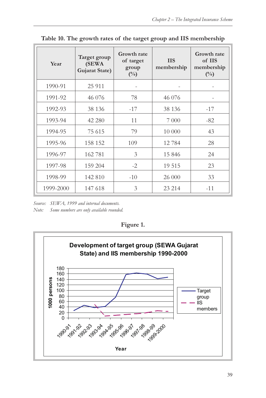| Year      | Target group<br>(SEWA<br>Gujarat State) | Growth rate<br>of target<br>group<br>$(^{0}/_{0})$ | <b>IIS</b><br>membership | <b>Growth rate</b><br>of IIS<br>membership<br>$\binom{0}{0}$ |
|-----------|-----------------------------------------|----------------------------------------------------|--------------------------|--------------------------------------------------------------|
| 1990-91   | 25 911                                  |                                                    |                          |                                                              |
| 1991-92   | 46 076                                  | 78                                                 | 46 0 76                  |                                                              |
| 1992-93   | 38 1 36                                 | $-17$                                              | 38 1 36                  | $-17$                                                        |
| 1993-94   | 42 280                                  | 11                                                 | 7 0 0 0                  | $-82$                                                        |
| 1994-95   | 75 615                                  | 79                                                 | 10 000                   | 43                                                           |
| 1995-96   | 158 152                                 | 109                                                | 12784                    | 28                                                           |
| 1996-97   | 162 781                                 | 3                                                  | 15 846                   | 24                                                           |
| 1997-98   | 159 204                                 | $-2$                                               | 19 515                   | 23                                                           |
| 1998-99   | 142 810                                 | $-10$                                              | 26 000                   | 33                                                           |
| 1999-2000 | 147 618                                 | 3                                                  | 23 214                   | $-11$                                                        |

**Table 10. The growth rates of the target group and IIS membership**

*Source: SEWA, 1999 and internal documents.*

*Note: Some numbers are only available rounded.*



**Figure 1.**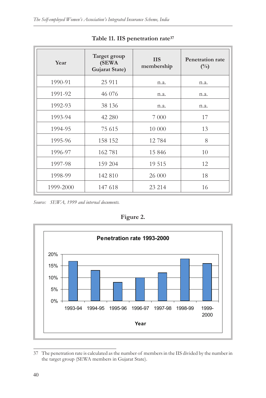| Year      | Target group<br>(SEWA<br>Gujarat State) | <b>IIS</b><br>membership | <b>Penetration rate</b><br>$(^{0}/_{0})$ |
|-----------|-----------------------------------------|--------------------------|------------------------------------------|
| 1990-91   | 25 911                                  | n.a.                     | n.a.                                     |
| 1991-92   | 46 076                                  | n.a.                     | n.a.                                     |
| 1992-93   | 38 1 36                                 | n.a.                     | n.a.                                     |
| 1993-94   | 42 280                                  | 7 0 0 0                  | 17                                       |
| 1994-95   | 75 615                                  | 10 000                   | 13                                       |
| 1995-96   | 158 152                                 | 12784                    | 8                                        |
| 1996-97   | 162781                                  | 15 846                   | 10                                       |
| 1997-98   | 159 204                                 | 19 515                   | 12                                       |
| 1998-99   | 142 810                                 | 26 000                   | 18                                       |
| 1999-2000 | 147 618                                 | 23 214                   | 16                                       |

| Table 11. IIS penetration rate <sup>37</sup> |
|----------------------------------------------|
|----------------------------------------------|

*Source: SEWA, 1999 and internal documents.*



**Figure 2.**

<sup>37</sup> The penetration rate is calculated as the number of members in the IIS divided by the number in the target group (SEWA members in Gujarat State).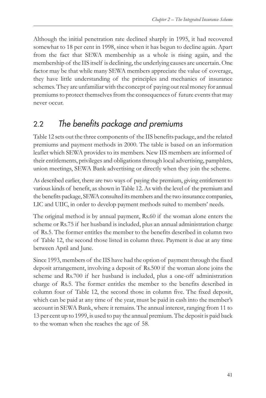Although the initial penetration rate declined sharply in 1995, it had recovered somewhat to 18 per cent in 1998, since when it has begun to decline again. Apart from the fact that SEWA membership as a whole is rising again, and the membership of the IIS itself is declining, the underlying causes are uncertain. One factor may be that while many SEWA members appreciate the value of coverage, they have little understanding of the principles and mechanics of insurance schemes. They are unfamiliar with the concept of paying out real money for annual premiums to protect themselves from the consequences of future events that may never occur.

## 2.2 *The benefits package and premiums*

Table 12 sets out the three components of the IIS benefits package, and the related premiums and payment methods in 2000. The table is based on an information leaflet which SEWA provides to its members. New IIS members are informed of their entitlements, privileges and obligations through local advertising, pamphlets, union meetings, SEWA Bank advertising or directly when they join the scheme.

As described earlier, there are two ways of paying the premium, giving entitlement to various kinds of benefit, as shown in Table 12. As with the level of the premium and the benefits package, SEWA consulted its members and the two insurance companies, LIC and UIIC, in order to develop payment methods suited to members' needs.

The original method is by annual payment, Rs.60 if the woman alone enters the scheme or Rs.75 if her husband is included, plus an annual administration charge of Rs.5. The former entitles the member to the benefits described in column two of Table 12, the second those listed in column three. Payment is due at any time between April and June.

Since 1993, members of the IIS have had the option of payment through the fixed deposit arrangement, involving a deposit of Rs.500 if the woman alone joins the scheme and Rs.700 if her husband is included, plus a one-off administration charge of Rs.5. The former entitles the member to the benefits described in column four of Table 12, the second those in column five. The fixed deposit, which can be paid at any time of the year, must be paid in cash into the member's account in SEWA Bank, where it remains. The annual interest, ranging from 11 to 13 per cent up to 1999, is used to pay the annual premium. The deposit is paid back to the woman when she reaches the age of 58.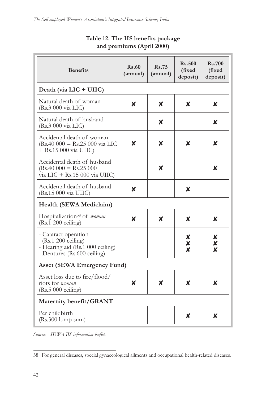| <b>Benefits</b>                                                                                                 | Rs.60<br>(annual) | <b>Rs.75</b><br>(annual) | <b>Rs.500</b><br>(fixed)<br>deposit)                 | <b>Rs.700</b><br>(fixed<br>deposit) |
|-----------------------------------------------------------------------------------------------------------------|-------------------|--------------------------|------------------------------------------------------|-------------------------------------|
| Death (via LIC + UIIC)                                                                                          |                   |                          |                                                      |                                     |
| Natural death of woman<br>(Rs.3 000 via LIC)                                                                    | X                 | X                        | X                                                    | X                                   |
| Natural death of husband<br>(Rs.3 000 via LIC)                                                                  |                   | X                        |                                                      | X                                   |
| Accidental death of woman<br>$(Rs.40\ 000 = Rs.25\ 000\ via\ LIC$<br>$+$ Rs.15 000 via UIIC)                    | X                 | X                        | X                                                    | X                                   |
| Accidental death of husband<br>$(Rs.40\ 000 = Rs.25\ 000$<br>via LIC + Rs.15 000 via UIIC)                      |                   | X                        |                                                      | X                                   |
| Accidental death of husband<br>(Rs.15 000 via UIIC)                                                             | X                 |                          | X                                                    |                                     |
| Health (SEWA Mediclaim)                                                                                         |                   |                          |                                                      |                                     |
| Hospitalization <sup>38</sup> of woman<br>$(Rs.1 200$ ceiling)                                                  | X                 | X                        | X                                                    | X                                   |
| - Cataract operation<br>$(Rs.1 200$ ceiling)<br>- Hearing aid (Rs.1 000 ceiling)<br>- Dentures (Rs.600 ceiling) |                   |                          | X<br>$\boldsymbol{\mathsf{x}}$<br>$\dot{\textbf{x}}$ | x x x                               |
| <b>Asset (SEWA Emergency Fund)</b>                                                                              |                   |                          |                                                      |                                     |
| Asset loss due to fire/flood/<br>riots for woman<br>$(Rs.5 000$ ceiling)                                        | X                 | X                        | X                                                    | X                                   |
| Maternity benefit/GRANT                                                                                         |                   |                          |                                                      |                                     |
| Per childbirth<br>$(Rs.300$ lump sum)                                                                           |                   |                          | X                                                    | x                                   |

### **Table 12. The IIS benefits package and premiums (April 2000)**

*Source: SEWA IIS information leaflet.*

<sup>38</sup> For general diseases, special gynaecological ailments and occupational health-related diseases.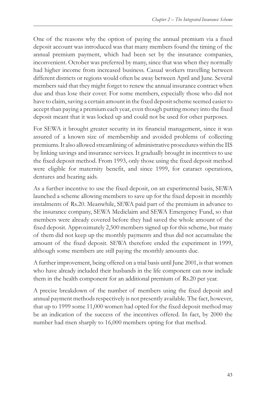One of the reasons why the option of paying the annual premium via a fixed deposit account was introduced was that many members found the timing of the annual premium payment, which had been set by the insurance companies, inconvenient. October was preferred by many, since that was when they normally had higher income from increased business. Casual workers travelling between different districts or regions would often be away between April and June. Several members said that they might forget to renew the annual insurance contract when due and thus lose their cover. For some members, especially those who did not have to claim, saving a certain amount in the fixed deposit scheme seemed easier to accept than paying a premium each year, even though putting money into the fixed deposit meant that it was locked up and could not be used for other purposes.

For SEWA it brought greater security in its financial management, since it was assured of a known size of membership and avoided problems of collecting premiums. It also allowed streamlining of administrative procedures within the IIS by linking savings and insurance services. It gradually brought in incentives to use the fixed deposit method. From 1993, only those using the fixed deposit method were eligible for maternity benefit, and since 1999, for cataract operations, dentures and hearing aids.

As a further incentive to use the fixed deposit, on an experimental basis, SEWA launched a scheme allowing members to save up for the fixed deposit in monthly instalments of Rs.20. Meanwhile, SEWA paid part of the premium in advance to the insurance company, SEWA Mediclaim and SEWA Emergency Fund, so that members were already covered before they had saved the whole amount of the fixed deposit. Approximately 2,500 members signed up for this scheme, but many of them did not keep up the monthly payments and thus did not accumulate the amount of the fixed deposit. SEWA therefore ended the experiment in 1999, although some members are still paying the monthly amounts due.

A further improvement, being offered on a trial basis until June 2001, is that women who have already included their husbands in the life component can now include them in the health component for an additional premium of Rs.20 per year.

A precise breakdown of the number of members using the fixed deposit and annual payment methods respectively is not presently available. The fact, however, that up to 1999 some 11,000 women had opted for the fixed deposit method may be an indication of the success of the incentives offered. In fact, by 2000 the number had risen sharply to 16,000 members opting for that method.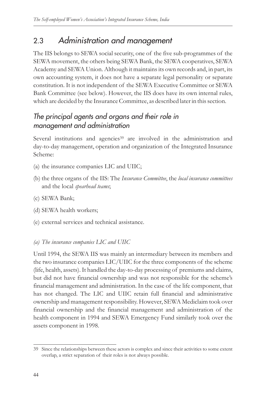## 2.3 *Administration and management*

The IIS belongs to SEWA social security, one of the five sub-programmes of the SEWA movement, the others being SEWA Bank, the SEWA cooperatives, SEWA Academy and SEWA Union. Although it maintains its own records and, in part, its own accounting system, it does not have a separate legal personality or separate constitution. It is not independent of the SEWA Executive Committee or SEWA Bank Committee (see below). However, the IIS does have its own internal rules, which are decided by the Insurance Committee, as described later in this section.

### *The principal agents and organs and their role in management and administration*

Several institutions and agencies<sup>39</sup> are involved in the administration and day-to-day management, operation and organization of the Integrated Insurance Scheme:

- (a) the insurance companies LIC and UIIC;
- (b) the three organs of the IIS: The *Insurance Committee*, the *local insurance committees* and the local *spearhead teams*;
- (c) SEWA Bank;
- (d) SEWA health workers;
- (e) external services and technical assistance.

### *(a) The insurance companies LIC and UIIC*

Until 1994, the SEWA IIS was mainly an intermediary between its members and the two insurance companies LIC/UIIC for the three components of the scheme (life, health, assets). It handled the day-to-day processing of premiums and claims, but did not have financial ownership and was not responsible for the scheme's financial management and administration. In the case of the life component, that has not changed. The LIC and UIIC retain full financial and administrative ownership and management responsibility. However, SEWA Mediclaim took over financial ownership and the financial management and administration of the health component in 1994 and SEWA Emergency Fund similarly took over the assets component in 1998.

<sup>39</sup> Since the relationships between these actors is complex and since their activities to some extent overlap, a strict separation of their roles is not always possible.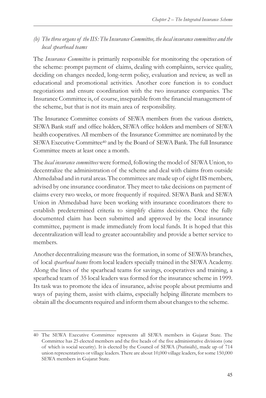### *(b) The three organs of the IIS: The Insurance Committee, the local insurance committees and the local spearhead teams*

The *Insurance Committee* is primarily responsible for monitoring the operation of the scheme: prompt payment of claims, dealing with complaints, service quality, deciding on changes needed, long-term policy, evaluation and review, as well as educational and promotional activities. Another core function is to conduct negotiations and ensure coordination with the two insurance companies. The Insurance Committee is, of course, inseparable from the financial management of the scheme, but that is not its main area of responsibility.

The Insurance Committee consists of SEWA members from the various districts, SEWA Bank staff and office holders, SEWA office holders and members of SEWA health cooperatives. All members of the Insurance Committee are nominated by the SEWA Executive Committee40 and by the Board of SEWA Bank. The full Insurance Committee meets at least once a month.

The *local insurance committees* were formed, following the model of SEWA Union, to decentralize the administration of the scheme and deal with claims from outside Ahmedabad and in rural areas. The committees are made up of eight IIS members, advised by one insurance coordinator. They meet to take decisions on payment of claims every two weeks, or more frequently if required. SEWA Bank and SEWA Union in Ahmedabad have been working with insurance coordinators there to establish predetermined criteria to simplify claims decisions. Once the fully documented claim has been submitted and approved by the local insurance committee, payment is made immediately from local funds. It is hoped that this decentralization will lead to greater accountability and provide a better service to members.

Another decentralizing measure was the formation, in some of SEWA's branches, of local *spearhead teams* from local leaders specially trained in the SEWA Academy. Along the lines of the spearhead teams for savings, cooperatives and training, a spearhead team of 35 local leaders was formed for the insurance scheme in 1999. Its task was to promote the idea of insurance, advise people about premiums and ways of paying them, assist with claims, especially helping illiterate members to obtain all the documents required and inform them about changes to the scheme.

<sup>40</sup> The SEWA Executive Committee represents all SEWA members in Gujarat State. The Committee has 25 elected members and the five heads of the five administrative divisions (one of which is social security). It is elected by the Council of SEWA (*Pratinidhi*), made up of 714 union representatives or village leaders. There are about 10,000 village leaders, for some 150,000 SEWA members in Gujarat State.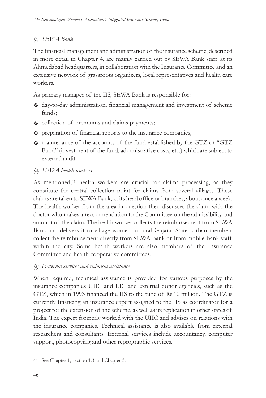### *(c) SEWA Bank*

The financial management and administration of the insurance scheme, described in more detail in Chapter 4, are mainly carried out by SEWA Bank staff at its Ahmedabad headquarters, in collaboration with the Insurance Committee and an extensive network of grassroots organizers, local representatives and health care workers.

As primary manager of the IIS, SEWA Bank is responsible for:

- v day-to-day administration, financial management and investment of scheme funds;
- collection of premiums and claims payments;
- \* preparation of financial reports to the insurance companies;
- v maintenance of the accounts of the fund established by the GTZ or "GTZ Fund" (investment of the fund, administrative costs, etc.) which are subject to external audit.
- *(d) SEWA health workers*

As mentioned,<sup>41</sup> health workers are crucial for claims processing, as they constitute the central collection point for claims from several villages. These claims are taken to SEWA Bank, at its head office or branches, about once a week. The health worker from the area in question then discusses the claim with the doctor who makes a recommendation to the Committee on the admissibility and amount of the claim. The health worker collects the reimbursement from SEWA Bank and delivers it to village women in rural Gujarat State. Urban members collect the reimbursement directly from SEWA Bank or from mobile Bank staff within the city. Some health workers are also members of the Insurance Committee and health cooperative committees.

*(e) External services and technical assistance*

When required, technical assistance is provided for various purposes by the insurance companies UIIC and LIC and external donor agencies, such as the GTZ, which in 1993 financed the IIS to the tune of Rs.10 million. The GTZ is currently financing an insurance expert assigned to the IIS as coordinator for a project for the extension of the scheme, as well as its replication in other states of India. The expert formerly worked with the UIIC and advises on relations with the insurance companies. Technical assistance is also available from external researchers and consultants. External services include accountancy, computer support, photocopying and other reprographic services.

<sup>41</sup> See Chapter 1, section 1.3 and Chapter 3.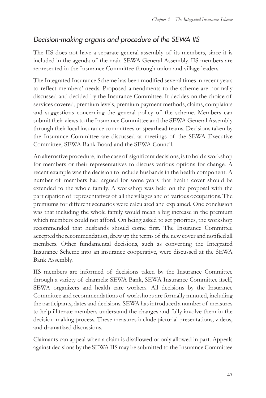## *Decision-making organs and procedure of the SEWA IIS*

The IIS does not have a separate general assembly of its members, since it is included in the agenda of the main SEWA General Assembly. IIS members are represented in the Insurance Committee through union and village leaders.

The Integrated Insurance Scheme has been modified several times in recent years to reflect members' needs. Proposed amendments to the scheme are normally discussed and decided by the Insurance Committee. It decides on the choice of services covered, premium levels, premium payment methods, claims, complaints and suggestions concerning the general policy of the scheme. Members can submit their views to the Insurance Committee and the SEWA General Assembly through their local insurance committees or spearhead teams. Decisions taken by the Insurance Committee are discussed at meetings of the SEWA Executive Committee, SEWA Bank Board and the SEWA Council.

An alternative procedure, in the case of significant decisions, is to hold a workshop for members or their representatives to discuss various options for change. A recent example was the decision to include husbands in the health component. A number of members had argued for some years that health cover should be extended to the whole family. A workshop was held on the proposal with the participation of representatives of all the villages and of various occupations. The premiums for different scenarios were calculated and explained. One conclusion was that including the whole family would mean a big increase in the premium which members could not afford. On being asked to set priorities, the workshop recommended that husbands should come first. The Insurance Committee accepted the recommendation, drew up the terms of the new cover and notified all members. Other fundamental decisions, such as converting the Integrated Insurance Scheme into an insurance cooperative, were discussed at the SEWA Bank Assembly.

IIS members are informed of decisions taken by the Insurance Committee through a variety of channels: SEWA Bank, SEWA Insurance Committee itself, SEWA organizers and health care workers. All decisions by the Insurance Committee and recommendations of workshops are formally minuted, including the participants, dates and decisions. SEWA has introduced a number of measures to help illiterate members understand the changes and fully involve them in the decision-making process. These measures include pictorial presentations, videos, and dramatized discussions.

Claimants can appeal when a claim is disallowed or only allowed in part. Appeals against decisions by the SEWA IIS may be submitted to the Insurance Committee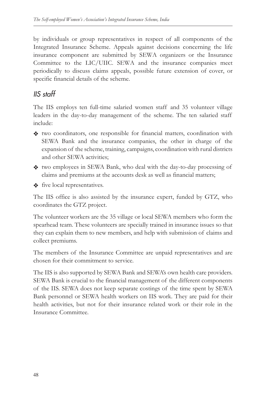by individuals or group representatives in respect of all components of the Integrated Insurance Scheme. Appeals against decisions concerning the life insurance component are submitted by SEWA organizers or the Insurance Committee to the LIC/UIIC. SEWA and the insurance companies meet periodically to discuss claims appeals, possible future extension of cover, or specific financial details of the scheme.

## *IIS staff*

The IIS employs ten full-time salaried women staff and 35 volunteer village leaders in the day-to-day management of the scheme. The ten salaried staff include:

- v two coordinators, one responsible for financial matters, coordination with SEWA Bank and the insurance companies, the other in charge of the expansion of the scheme, training, campaigns, coordination with rural districts and other SEWA activities;
- v two employees in SEWA Bank, who deal with the day-to-day processing of claims and premiums at the accounts desk as well as financial matters;

 $\triangleleft$  five local representatives.

The IIS office is also assisted by the insurance expert, funded by GTZ, who coordinates the GTZ project.

The volunteer workers are the 35 village or local SEWA members who form the spearhead team. These volunteers are specially trained in insurance issues so that they can explain them to new members, and help with submission of claims and collect premiums.

The members of the Insurance Committee are unpaid representatives and are chosen for their commitment to service.

The IIS is also supported by SEWA Bank and SEWA's own health care providers. SEWA Bank is crucial to the financial management of the different components of the IIS. SEWA does not keep separate costings of the time spent by SEWA Bank personnel or SEWA health workers on IIS work. They are paid for their health activities, but not for their insurance related work or their role in the Insurance Committee.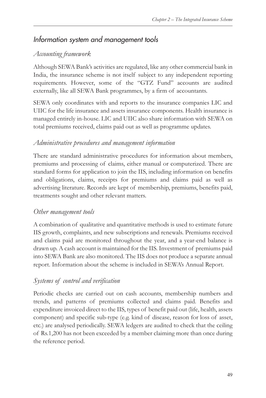## *Information system and management tools*

### *Accounting framework*

Although SEWA Bank's activities are regulated, like any other commercial bank in India, the insurance scheme is not itself subject to any independent reporting requirements. However, some of the "GTZ Fund" accounts are audited externally, like all SEWA Bank programmes, by a firm of accountants.

SEWA only coordinates with and reports to the insurance companies LIC and UIIC for the life insurance and assets insurance components. Health insurance is managed entirely in-house. LIC and UIIC also share information with SEWA on total premiums received, claims paid out as well as programme updates.

### *Administrative procedures and management information*

There are standard administrative procedures for information about members, premiums and processing of claims, either manual or computerized. There are standard forms for application to join the IIS, including information on benefits and obligations, claims, receipts for premiums and claims paid as well as advertising literature. Records are kept of membership, premiums, benefits paid, treatments sought and other relevant matters.

### *Other management tools*

A combination of qualitative and quantitative methods is used to estimate future IIS growth, complaints, and new subscriptions and renewals. Premiums received and claims paid are monitored throughout the year, and a year-end balance is drawn up. A cash account is maintained for the IIS. Investment of premiums paid into SEWA Bank are also monitored. The IIS does not produce a separate annual report. Information about the scheme is included in SEWA's Annual Report.

### *Systems of control and verification*

Periodic checks are carried out on cash accounts, membership numbers and trends, and patterns of premiums collected and claims paid. Benefits and expenditure invoiced direct to the IIS, types of benefit paid out (life, health, assets component) and specific sub-type (e.g. kind of disease, reason for loss of asset, etc.) are analysed periodically. SEWA ledgers are audited to check that the ceiling of Rs.1,200 has not been exceeded by a member claiming more than once during the reference period.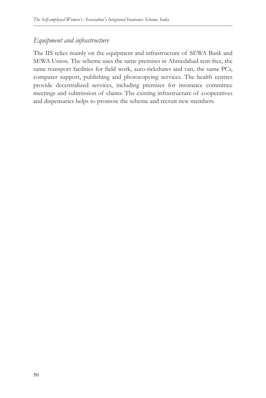### *Equipment and infrastructure*

The IIS relies mainly on the equipment and infrastructure of SEWA Bank and SEWA Union. The scheme uses the same premises in Ahmedabad rent-free, the same transport facilities for field work, auto-rickshaws and van, the same PCs, computer support, publishing and photocopying services. The health centres provide decentralized services, including premises for insurance committee meetings and submission of claims. The existing infrastructure of cooperatives and dispensaries helps to promote the scheme and recruit new members.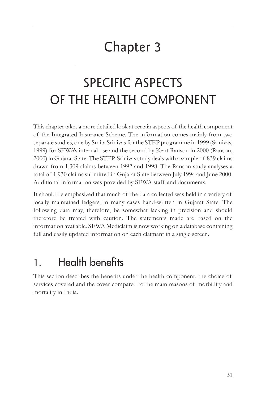# Chapter 3

# SPECIFIC ASPECTS OF THE HEALTH COMPONENT

This chapter takes a more detailed look at certain aspects of the health component of the Integrated Insurance Scheme. The information comes mainly from two separate studies, one by Smita Srinivas for the STEP programme in 1999 (Srinivas, 1999) for SEWA's internal use and the second by Kent Ranson in 2000 (Ranson, 2000) in Gujarat State. The STEP-Srinivas study deals with a sample of 839 claims drawn from 1,309 claims between 1992 and 1998. The Ranson study analyses a total of 1,930 claims submitted in Gujarat State between July 1994 and June 2000. Additional information was provided by SEWA staff and documents.

It should be emphasized that much of the data collected was held in a variety of locally maintained ledgers, in many cases hand-written in Gujarat State. The following data may, therefore, be somewhat lacking in precision and should therefore be treated with caution. The statements made are based on the information available. SEWA Mediclaim is now working on a database containing full and easily updated information on each claimant in a single screen.

## 1. Health benefits

This section describes the benefits under the health component, the choice of services covered and the cover compared to the main reasons of morbidity and mortality in India.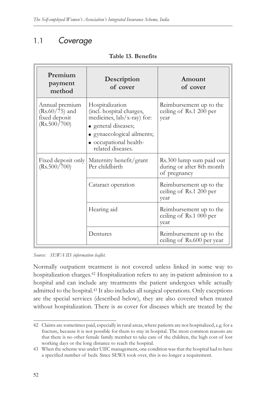## 1.1 *Coverage*

| Premium<br>payment<br>method                                        | Description<br>of cover                                                                                                                                                       | Amount<br>of cover                                                    |
|---------------------------------------------------------------------|-------------------------------------------------------------------------------------------------------------------------------------------------------------------------------|-----------------------------------------------------------------------|
| Annual premium<br>$(Rs.60/75)$ and<br>fixed deposit<br>(Rs.500/700) | Hospitalization<br>(incl. hospital charges,<br>medicines, lab/x-ray) for:<br>• general diseases;<br>· gynaecological ailments;<br>· occupational health-<br>related diseases. | Reimbursement up to the<br>ceiling of Rs.1 $200$ per<br>year          |
| Fixed deposit only<br>(Rs.500/700)                                  | Maternity benefit/grant<br>Per childbirth                                                                                                                                     | Rs.300 lump sum paid out<br>during or after 8th month<br>of pregnancy |
|                                                                     | Cataract operation                                                                                                                                                            | Reimbursement up to the<br>ceiling of Rs.1 200 per<br>year            |
|                                                                     | Hearing aid                                                                                                                                                                   | Reimbursement up to the<br>ceiling of Rs.1 000 per<br>year            |
|                                                                     | Dentures                                                                                                                                                                      | Reimbursement up to the<br>ceiling of Rs.600 per year                 |

#### **Table 13. Benefits**

*Source: SEWA IIS information leaflet.*

Normally outpatient treatment is not covered unless linked in some way to hospitalization charges.42 Hospitalization refers to any in-patient admission to a hospital and can include any treatments the patient undergoes while actually admitted to the hospital.43 It also includes all surgical operations. Only exceptions are the special services (described below), they are also covered when treated without hospitalization. There is *no* cover for diseases which are treated by the

<sup>42</sup> Claims are sometimes paid, especially in rural areas, where patients are not hospitalized, e.g. for a fracture, because it is not possible for them to stay in hospital. The most common reasons are that there is no other female family member to take care of the children, the high cost of lost working days or the long distance to reach the hospital.

<sup>43</sup> When the scheme was under UIIC management, one condition was that the hospital had to have a specified number of beds. Since SEWA took over, this is no longer a requirement.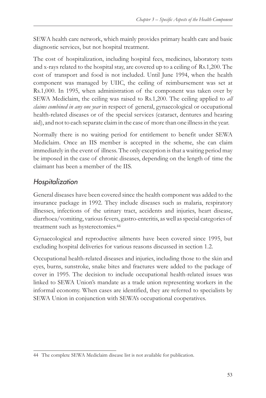SEWA health care network, which mainly provides primary health care and basic diagnostic services, but not hospital treatment.

The cost of hospitalization, including hospital fees, medicines, laboratory tests and x-rays related to the hospital stay, are covered up to a ceiling of Rs.1,200. The cost of transport and food is not included. Until June 1994, when the health component was managed by UIIC, the ceiling of reimbursement was set at Rs.1,000. In 1995, when administration of the component was taken over by SEWA Mediclaim, the ceiling was raised to Rs.1,200. The ceiling applied to *all claims combined in any one year* in respect of general, gynaecological or occupational health-related diseases or of the special services (cataract, dentures and hearing aid), and not to each separate claim in the case of more than one illness in the year.

Normally there is no waiting period for entitlement to benefit under SEWA Mediclaim. Once an IIS member is accepted in the scheme, she can claim immediately in the event of illness. The only exception is that a waiting period may be imposed in the case of chronic diseases, depending on the length of time the claimant has been a member of the IIS.

## *Hospitalization*

General diseases have been covered since the health component was added to the insurance package in 1992. They include diseases such as malaria, respiratory illnesses, infections of the urinary tract, accidents and injuries, heart disease, diarrhoea/vomiting, various fevers, gastro-enteritis, as well as special categories of treatment such as hysterectomies.44

Gynaecological and reproductive ailments have been covered since 1995, but excluding hospital deliveries for various reasons discussed in section 1.2.

Occupational health-related diseases and injuries, including those to the skin and eyes, burns, sunstroke, snake bites and fractures were added to the package of cover in 1995. The decision to include occupational health-related issues was linked to SEWA Union's mandate as a trade union representing workers in the informal economy. When cases are identified, they are referred to specialists by SEWA Union in conjunction with SEWA's occupational cooperatives.

<sup>44</sup> The complete SEWA Mediclaim disease list is not available for publication.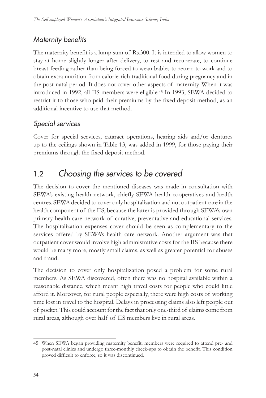### *Maternity benefits*

The maternity benefit is a lump sum of Rs.300. It is intended to allow women to stay at home slightly longer after delivery, to rest and recuperate, to continue breast-feeding rather than being forced to wean babies to return to work and to obtain extra nutrition from calorie-rich traditional food during pregnancy and in the post-natal period. It does not cover other aspects of maternity. When it was introduced in 1992, all IIS members were eligible.45 In 1993, SEWA decided to restrict it to those who paid their premiums by the fixed deposit method, as an additional incentive to use that method.

### *Special services*

Cover for special services, cataract operations, hearing aids and/or dentures up to the ceilings shown in Table 13, was added in 1999, for those paying their premiums through the fixed deposit method.

## 1.2 *Choosing the services to be covered*

The decision to cover the mentioned diseases was made in consultation with SEWA's existing health network, chiefly SEWA health cooperatives and health centres. SEWA decided to cover only hospitalization and not outpatient care in the health component of the IIS, because the latter is provided through SEWA's own primary health care network of curative, preventative and educational services. The hospitalization expenses cover should be seen as complementary to the services offered by SEWA's health care network. Another argument was that outpatient cover would involve high administrative costs for the IIS because there would be many more, mostly small claims, as well as greater potential for abuses and fraud.

The decision to cover only hospitalization posed a problem for some rural members. As SEWA discovered, often there was no hospital available within a reasonable distance, which meant high travel costs for people who could little afford it. Moreover, for rural people especially, there were high costs of working time lost in travel to the hospital. Delays in processing claims also left people out of pocket. This could account for the fact that only one-third of claims come from rural areas, although over half of IIS members live in rural areas.

<sup>45</sup> When SEWA began providing maternity benefit, members were required to attend pre- and post-natal clinics and undergo three-monthly check-ups to obtain the benefit. This condition proved difficult to enforce, so it was discontinued.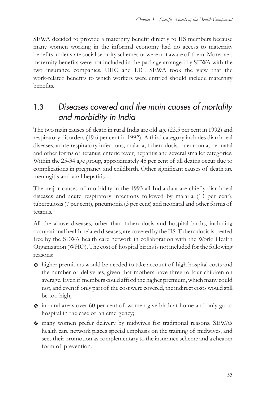SEWA decided to provide a maternity benefit directly to IIS members because many women working in the informal economy had no access to maternity benefits under state social security schemes or were not aware of them. Moreover, maternity benefits were not included in the package arranged by SEWA with the two insurance companies, UIIC and LIC. SEWA took the view that the work-related benefits to which workers were entitled should include maternity benefits.

## 1.3 *Diseases covered and the main causes of mortality and morbidity in India*

The two main causes of death in rural India are old age (23.5 per cent in 1992) and respiratory disorders (19.6 per cent in 1992). A third category includes diarrhoeal diseases, acute respiratory infections, malaria, tuberculosis, pneumonia, neonatal and other forms of tetanus, enteric fever, hepatitis and several smaller categories. Within the 25-34 age group, approximately 45 per cent of all deaths occur due to complications in pregnancy and childbirth. Other significant causes of death are meningitis and viral hepatitis.

The major causes of morbidity in the 1993 all-India data are chiefly diarrhoeal diseases and acute respiratory infections followed by malaria (13 per cent), tuberculosis (7 per cent), pneumonia (3 per cent) and neonatal and other forms of tetanus.

All the above diseases, other than tuberculosis and hospital births, including occupational health-related diseases, are covered by the IIS. Tuberculosis is treated free by the SEWA health care network in collaboration with the World Health Organization (WHO). The cost of hospital births is not included for the following reasons:

• higher premiums would be needed to take account of high hospital costs and the number of deliveries, given that mothers have three to four children on average. Even if members could afford the higher premium, which many could not, and even if only part of the cost were covered, the indirect costs would still be too high;



 $\triangleq$  in rural areas over 60 per cent of women give birth at home and only go to hospital in the case of an emergency;

v many women prefer delivery by midwives for traditional reasons. SEWA's health care network places special emphasis on the training of midwives, and sees their promotion as complementary to the insurance scheme and a cheaper form of prevention.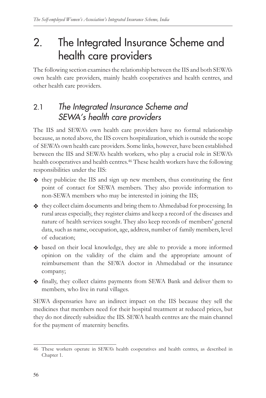# 2. The Integrated Insurance Scheme and health care providers

The following section examines the relationship between the IIS and both SEWA's own health care providers, mainly health cooperatives and health centres, and other health care providers.

## 2.1 *The Integrated Insurance Scheme and SEWA's health care providers*

The IIS and SEWA's own health care providers have no formal relationship because, as noted above, the IIS covers hospitalization, which is outside the scope of SEWA's own health care providers. Some links, however, have been established between the IIS and SEWA's health workers, who play a crucial role in SEWA's health cooperatives and health centres.46 These health workers have the following responsibilities under the IIS:

- v they publicize the IIS and sign up new members, thus constituting the first point of contact for SEWA members. They also provide information to non-SEWA members who may be interested in joining the IIS;
- v they collect claim documents and bring them to Ahmedabad for processing. In rural areas especially, they register claims and keep a record of the diseases and nature of health services sought. They also keep records of members' general data, such as name, occupation, age, address, number of family members, level of education;
- v based on their local knowledge, they are able to provide a more informed opinion on the validity of the claim and the appropriate amount of reimbursement than the SEWA doctor in Ahmedabad or the insurance company;
- v finally, they collect claims payments from SEWA Bank and deliver them to members, who live in rural villages.

SEWA dispensaries have an indirect impact on the IIS because they sell the medicines that members need for their hospital treatment at reduced prices, but they do not directly subsidize the IIS. SEWA health centres are the main channel for the payment of maternity benefits.

<sup>46</sup> These workers operate in SEWA's health cooperatives and health centres, as described in Chapter 1.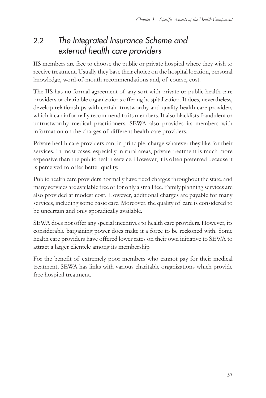## 2.2 *The Integrated Insurance Scheme and external health care providers*

IIS members are free to choose the public or private hospital where they wish to receive treatment. Usually they base their choice on the hospital location, personal knowledge, word-of-mouth recommendations and, of course, cost.

The IIS has no formal agreement of any sort with private or public health care providers or charitable organizations offering hospitalization. It does, nevertheless, develop relationships with certain trustworthy and quality health care providers which it can informally recommend to its members. It also blacklists fraudulent or untrustworthy medical practitioners. SEWA also provides its members with information on the charges of different health care providers.

Private health care providers can, in principle, charge whatever they like for their services. In most cases, especially in rural areas, private treatment is much more expensive than the public health service. However, it is often preferred because it is perceived to offer better quality.

Public health care providers normally have fixed charges throughout the state, and many services are available free or for only a small fee. Family planning services are also provided at modest cost. However, additional charges are payable for many services, including some basic care. Moreover, the quality of care is considered to be uncertain and only sporadically available.

SEWA does not offer any special incentives to health care providers. However, its considerable bargaining power does make it a force to be reckoned with. Some health care providers have offered lower rates on their own initiative to SEWA to attract a larger clientele among its membership.

For the benefit of extremely poor members who cannot pay for their medical treatment, SEWA has links with various charitable organizations which provide free hospital treatment.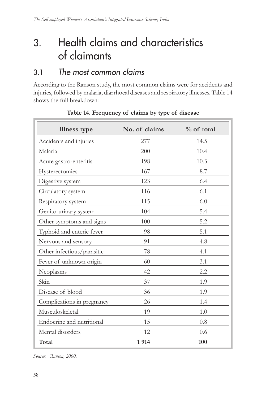# 3. Health claims and characteristics of claimants

## 3.1 *The most common claims*

According to the Ranson study, the most common claims were for accidents and injuries, followed by malaria, diarrhoeal diseases and respiratory illnesses. Table 14 shows the full breakdown:

| <b>Illness type</b>        | No. of claims | $%$ of total |  |
|----------------------------|---------------|--------------|--|
| Accidents and injuries     | 277           | 14.5         |  |
| Malaria                    | 200           | 10.4         |  |
| Acute gastro-enteritis     | 198           | 10.3         |  |
| Hysterectomies             | 167           | 8.7          |  |
| Digestive system           | 123           | 6.4          |  |
| Circulatory system         | 116           | 6.1          |  |
| Respiratory system         | 115           | 6.0          |  |
| Genito-urinary system      | 104           | 5.4          |  |
| Other symptoms and signs   | 100           | 5.2          |  |
| Typhoid and enteric fever  | 98            | 5.1          |  |
| Nervous and sensory        | 91            | 4.8          |  |
| Other infectious/parasitic | 78            | 4.1          |  |
| Fever of unknown origin    | 60            | 3.1          |  |
| Neoplasms                  | 42            | 2.2          |  |
| Skin                       | 37            | 1.9          |  |
| Disease of blood           | 36            | 1.9          |  |
| Complications in pregnancy | 26            | 1.4          |  |
| Musculoskeletal            | 19            | 1.0          |  |
| Endocrine and nutritional  | 15            | 0.8          |  |
| Mental disorders           | 12            | 0.6          |  |
| Total                      | 1914          | 100          |  |

#### **Table 14. Frequency of claims by type of disease**

*Source: Ranson, 2000.*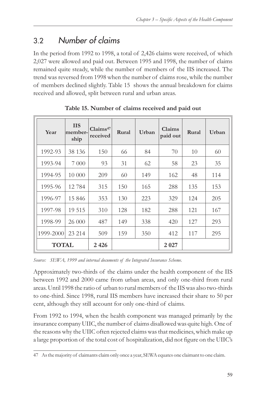## 3.2 *Number of claims*

In the period from 1992 to 1998, a total of 2,426 claims were received, of which 2,027 were allowed and paid out. Between 1995 and 1998, the number of claims remained quite steady, while the number of members of the IIS increased. The trend was reversed from 1998 when the number of claims rose, while the number of members declined slightly. Table 15 shows the annual breakdown for claims received and allowed, split between rural and urban areas.

| Year         | <b>IIS</b><br>member-<br>ship | Claims <sup>47</sup><br>received | Rural | Urban | Claims<br>paid out | Rural | Urban |
|--------------|-------------------------------|----------------------------------|-------|-------|--------------------|-------|-------|
| 1992-93      | 38 1 36                       | 150                              | 66    | 84    | 70                 | 10    | 60    |
| 1993-94      | 7 0 0 0                       | 93                               | 31    | 62    | 58                 | 23    | 35    |
| 1994-95      | 10 000                        | 209                              | 60    | 149   | 162                | 48    | 114   |
| 1995-96      | 12784                         | 315                              | 150   | 165   | 288                | 135   | 153   |
| 1996-97      | 15 846                        | 353                              | 130   | 223   | 329                | 124   | 205   |
| 1997-98      | 19 515                        | 310                              | 128   | 182   | 288                | 121   | 167   |
| 1998-99      | 26 000                        | 487                              | 149   | 338   | 420                | 127   | 293   |
| 1999-2000    | 23 214                        | 509                              | 159   | 350   | 412                | 117   | 295   |
| <b>TOTAL</b> |                               | 2426                             |       |       | 2027               |       |       |

**Table 15. Number of claims received and paid out**

*Source: SEWA, 1999 and internal documents of the Integrated Insurance Scheme.*

Approximately two-thirds of the claims under the health component of the IIS between 1992 and 2000 came from urban areas, and only one-third from rural areas. Until 1998 the ratio of urban to rural members of the IIS was also two-thirds to one-third. Since 1998, rural IIS members have increased their share to 50 per cent, although they still account for only one-third of claims.

From 1992 to 1994, when the health component was managed primarily by the insurance company UIIC, the number of claims disallowed was quite high. One of the reasons why the UIIC often rejected claims was that medicines, which make up a large proportion of the total cost of hospitalization, did not figure on the UIIC's

<sup>47</sup> As the majority of claimants claim only once a year, SEWA equates one claimant to one claim.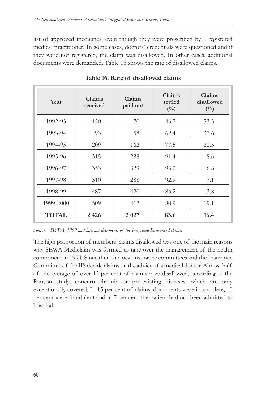list of approved medicines, even though they were prescribed by a registered medical practitioner. In some cases, doctors' credentials were questioned and if they were not registered, the claim was disallowed. In other cases, additional documents were demanded. Table 16 shows the rate of disallowed claims.

| Year         | Claims<br>received | Claims<br>paid out | Claims<br>settled<br>$(^{0}/_{0})$ | Claims<br>disallowed<br>$(^{0}/_{0})$ |
|--------------|--------------------|--------------------|------------------------------------|---------------------------------------|
| 1992-93      | 150                | 70                 | 46.7                               | 53.3                                  |
| 1993-94      | 93                 | 58                 | 62.4                               | 37.6                                  |
| 1994-95      | 209                | 162                | 77.5                               | 22.5                                  |
| 1995-96      | 315                | 288                | 91.4                               | 8.6                                   |
| 1996-97      | 353                | 329                | 93.2                               | 6.8                                   |
| 1997-98      | 310                | 288                | 92.9                               | 7.1                                   |
| 1998-99      | 487                | 420                | 86.2                               | 13.8                                  |
| 1999-2000    | 509                | 412                | 80.9                               | 19.1                                  |
| <b>TOTAL</b> | 2426               | 2027               | 83.6                               | 16.4                                  |

**Table 16. Rate of disallowed claims**

*Source: SEWA, 1999 and internal documents of the Integrated Insurance Scheme.*

The high proportion of members' claims disallowed was one of the main reasons why SEWA Mediclaim was formed to take over the management of the health component in 1994. Since then the local insurance committees and the Insurance Committee of the IIS decide claims on the advice of a medical doctor. Almost half of the average of over 15 per cent of claims now disallowed, according to the Ranson study, concern chronic or pre-existing diseases, which are only exceptionally covered. In 15 per cent of claims, documents were incomplete, 10 per cent were fraudulent and in 7 per cent the patient had not been admitted to hospital.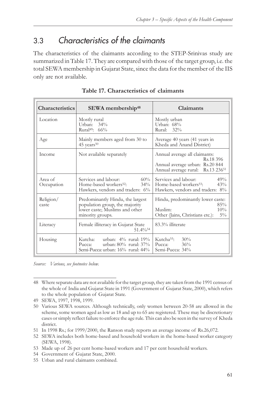## 3.3 *Characteristics of the claimants*

The characteristics of the claimants according to the STEP-Srinivas study are summarized in Table 17. They are compared with those of the target group, i.e. the total SEWA membership in Gujarat State, since the data for the member of the IIS only are not available. <sup>48</sup>

| <b>Characteristics</b> | SEWA membership <sup>48</sup>                                                                                            | Claimants                                                                                                          |  |
|------------------------|--------------------------------------------------------------------------------------------------------------------------|--------------------------------------------------------------------------------------------------------------------|--|
| Location               | Mostly rural<br>Urban: 34%<br>Rural <sup>49</sup> : 66%                                                                  | Mostly urban<br>Urban: 68%<br>Rural: 32%                                                                           |  |
| Age                    | Mainly members aged from 30 to<br>45 years <sup>50</sup>                                                                 | Average 40 years (41 years in<br>Kheda and Anand District)                                                         |  |
| Income                 | Not available separately                                                                                                 | Annual average all claimants:<br>Rs.18 396<br>Annual average urban: Rs.20 844<br>Annual average rural: Rs.13 23651 |  |
| Area of<br>Occupation  | Services and labour:<br>60%<br>Home-based workers <sup>52</sup> :<br>$34\%$<br>Hawkers, vendors and traders: 6%          | Services and labour:<br>49%<br>Home-based workers <sup>53</sup> :<br>43%<br>Hawkers, vendors and traders: 8%       |  |
| Religion/<br>caste     | Predominantly Hindu, the largest<br>population group, the majority<br>lower caste; Muslims and other<br>minority groups. | Hindu, predominantly lower caste:<br>85%<br>Muslim:<br>10%<br>Other (Jains, Christians etc.):<br>$5\%$             |  |
| Literacy               | Female illiteracy in Gujarat State<br>$51.4\%$ <sup>54</sup>                                                             | 83.3% illiterate                                                                                                   |  |
| Housing                | Kutcha:<br>urban: $4\%$ rural: $19\%$<br>urban: 80% rural: 37%<br>Pucca:<br>Semi-Pucca: urban: 16% rural: 44%            | Kutcha <sup>55</sup> :<br>30%<br>Pucca: $36\%$<br>Semi-Pucca: 34%                                                  |  |

**Table 17. Characteristics of claimants**

*Source: Various, see footnotes below.*

49 SEWA, 1997, 1998, 1999.

<sup>48</sup> Where separate data are not available for the target group, they are taken from the 1991 census of the whole of India and Gujarat State in 1991 (Government of Gujarat State, 2000), which refers to the whole population of Gujarat State.

<sup>50</sup> Various SEWA sources. Although technically, only women between 20-58 are allowed in the scheme, some women aged as low as 18 and up to 65 are registered. These may be discretionary cases or simply reflect failure to enforce the age rule. This can also be seen in the survey of Kheda district.

<sup>51</sup> In 1998 Rs.; for 1999/2000, the Ranson study reports an average income of Rs.26,072.

<sup>52</sup> SEWA includes both home-based and household workers in the home-based worker category (SEWA, 1998).

<sup>53</sup> Made up of 26 per cent home-based workers and 17 per cent household workers.

<sup>54</sup> Government of Gujarat State, 2000.

<sup>55</sup> Urban and rural claimants combined.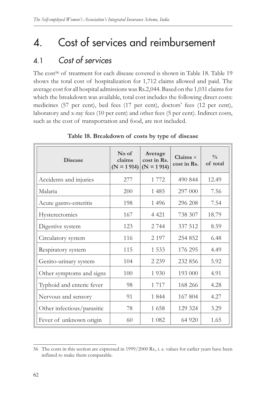# 4. Cost of services and reimbursement

## 4.1 *Cost of services*

The cost<sup>56</sup> of treatment for each disease covered is shown in Table 18. Table 19 shows the total cost of hospitalization for 1,712 claims allowed and paid. The average cost for all hospital admissions was Rs.2,044. Based on the 1,031 claims for which the breakdown was available, total cost includes the following direct costs: medicines (57 per cent), bed fees (17 per cent), doctors' fees (12 per cent), laboratory and x-ray fees (10 per cent) and other fees (5 per cent). Indirect costs, such as the cost of transportation and food, are not included.

| <b>Disease</b>             | No of<br>claims<br>$(N = 1914)$ | Average<br>cost in Rs.<br>$(N = 1914)$ | $Claims \times$<br>cost in Rs. | 0/0<br>of total |
|----------------------------|---------------------------------|----------------------------------------|--------------------------------|-----------------|
| Accidents and injuries     | 277                             | 1772                                   | 490 844                        | 12.49           |
| Malaria                    | 200                             | 1485                                   | 297 000                        | 7.56            |
| Acute gastro-enteritis     | 198                             | 1 4 9 6                                | 296 208                        | 7.54            |
| Hysterectomies             | 167                             | 4 4 2 1                                | 738 307                        | 18.79           |
| Digestive system           | 123                             | 2744                                   | 337 512                        | 8.59            |
| Circulatory system         | 116                             | 2 1 9 7                                | 254 852                        | 6.48            |
| Respiratory system         | 115                             | 1 5 3 3                                | 176 295                        | 4.49            |
| Genito-urinary system      | 104                             | 2 2 3 9                                | 232 856                        | 5.92            |
| Other symptoms and signs   | 100                             | 1 9 3 0                                | 193 000                        | 4.91            |
| Typhoid and enteric fever  | 98                              | 1 7 1 7                                | 168 266                        | 4.28            |
| Nervous and sensory        | 91                              | 1 844                                  | 167 804                        | 4.27            |
| Other infectious/parasitic | 78                              | 1658                                   | 129 324                        | 3.29            |
| Fever of unknown origin    | 60                              | 1 0 8 2                                | 64 9 20                        | 1.65            |

**Table 18. Breakdown of costs by type of disease**

<sup>56</sup> The costs in this section are expressed in 1999/2000 Rs., i. e. values for earlier years have been inflated to make them comparable.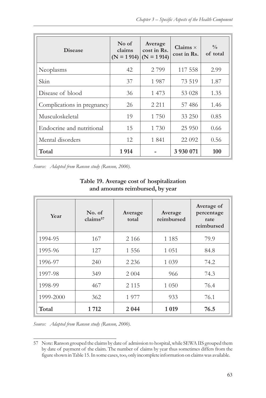| <b>Disease</b>             | No of<br>claims<br>$(N = 1914)$ | Average<br>cost in Rs.<br>$(N = 1914)$ | Claims $\times$<br>cost in Rs. | $\frac{0}{0}$<br>of total |
|----------------------------|---------------------------------|----------------------------------------|--------------------------------|---------------------------|
| Neoplasms                  | 42                              | 2 7 9 9                                | 117 558                        | 2.99                      |
| Skin                       | 37                              | 1987                                   | 73 519                         | 1.87                      |
| Disease of blood           | 36                              | 1 473                                  | 53 028                         | 1.35                      |
| Complications in pregnancy | 26                              | 2 2 1 1                                | 57486                          | 1.46                      |
| Musculoskeletal            | 19                              | 1 7 5 0                                | 33 250                         | 0.85                      |
| Endocrine and nutritional  | 15                              | 1 7 3 0                                | 25 9 50                        | 0.66                      |
| Mental disorders           | 12                              | 1841                                   | 22 092                         | 0.56                      |
| Total                      | 1914                            |                                        | 3 930 071                      | 100                       |

Source: Adapted from Ranson study (Ranson, 2000).

| Year      | No. of<br>claims <sup>57</sup> | Average<br>total | Average<br>reimbursed | Average of<br>percentage<br>rate<br>reimbursed |
|-----------|--------------------------------|------------------|-----------------------|------------------------------------------------|
| 1994-95   | 167                            | 2 1 6 6          | 1 1 8 5               | 79.9                                           |
| 1995-96   | 127                            | 1 5 5 6          | 1 0 5 1               | 84.8                                           |
| 1996-97   | 240                            | 2 2 3 6          | 1 0 3 9               | 74.2                                           |
| 1997-98   | 349                            | 2 0 0 4          | 966                   | 74.3                                           |
| 1998-99   | 467                            | 2 1 1 5          | 1 0 5 0               | 76.4                                           |
| 1999-2000 | 362                            | 1977             | 933                   | 76.1                                           |
| Total     | 1712                           | 2 0 4 4          | 1 0 1 9               | 76.5                                           |

### **Table 19. Average cost of hospitalization and amounts reimbursed, by year**

*Source: Adapted from Ranson study (Ranson, 2000).*

<sup>57</sup> Note: Ranson grouped the claims by date of admission to hospital, while SEWA IIS grouped them by date of payment of the claim. The number of claims by year thus sometimes differs from the figure shown in Table 15. In some cases, too, only incomplete information on claims was available.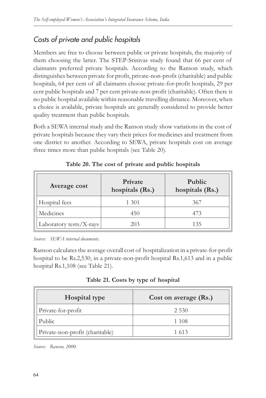## *Costs of private and public hospitals*

Members are free to choose between public or private hospitals, the majority of them choosing the latter. The STEP-Srinivas study found that 66 per cent of claimants preferred private hospitals. According to the Ranson study, which distinguishes between private for profit, private-non-profit (charitable) and public hospitals, 64 per cent of all claimants choose private-for-profit hospitals, 29 per cent public hospitals and 7 per cent private-non-profit (charitable). Often there is no public hospital available within reasonable travelling distance. Moreover, when a choice is available, private hospitals are generally considered to provide better quality treatment than public hospitals.

Both a SEWA internal study and the Ranson study show variations in the cost of private hospitals because they vary their prices for medicines and treatment from one district to another. According to SEWA, private hospitals cost on average three times more than public hospitals (see Table 20).

| Average cost                | Private<br>hospitals (Rs.) | Public<br>hospitals (Rs.) |
|-----------------------------|----------------------------|---------------------------|
| Hospital fees               | 1 301                      | 367                       |
| Medicines                   | 450                        | 473                       |
| Laboratory tests/ $X$ -rays | 203                        | 135                       |

| Table 20. The cost of private and public hospitals |  |
|----------------------------------------------------|--|
|----------------------------------------------------|--|

*Source: SEWA internal documents.*

Ranson calculates the average overall cost of hospitalization in a private-for-profit hospital to be Rs.2,530, in a private-non-profit hospital Rs.1,613 and in a public hospital Rs.1,108 (see Table 21).

**Table 21. Costs by type of hospital**

| Hospital type                   | Cost on average (Rs.) |  |
|---------------------------------|-----------------------|--|
| Private-for-profit              | 2 5 3 0               |  |
| <b>Public</b>                   | 1 1 0 8               |  |
| Private-non-profit (charitable) | 1613                  |  |

*Source: Ranson, 2000.*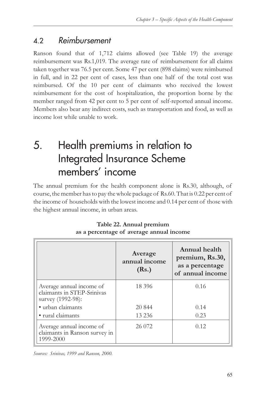## 4.2 *Reimbursement*

Ranson found that of 1,712 claims allowed (see Table 19) the average reimbursement was Rs.1,019. The average rate of reimbursement for all claims taken together was 76.5 per cent. Some 47 per cent (898 claims) were reimbursed in full, and in 22 per cent of cases, less than one half of the total cost was reimbursed. Of the 10 per cent of claimants who received the lowest reimbursement for the cost of hospitalization, the proportion borne by the member ranged from 42 per cent to 5 per cent of self-reported annual income. Members also bear any indirect costs, such as transportation and food, as well as income lost while unable to work.

# 5. Health premiums in relation to Integrated Insurance Scheme members' income

The annual premium for the health component alone is Rs.30, although, of course, the member has to pay the whole package of Rs.60. That is 0.22 per cent of the income of households with the lowest income and 0.14 per cent of those with the highest annual income, in urban areas.

|                                                                             | Average<br>annual income<br>(Rs.) | Annual health<br>premium, Rs.30,<br>as a percentage<br>of annual income |
|-----------------------------------------------------------------------------|-----------------------------------|-------------------------------------------------------------------------|
| Average annual income of<br>claimants in STEP-Srinivas<br>survey (1992-98): | 18 3 9 6                          | 0.16                                                                    |
| · urban claimants                                                           | 20 844                            | 0.14                                                                    |
| • rural claimants                                                           | 13 2 36                           | 0.23                                                                    |
| Average annual income of<br>claimants in Ranson survey in<br>1999-2000      | 26 072                            | 0.12                                                                    |

**Table 22. Annual premium as a percentage of average annual income**

*Sources: Srinivas, 1999 and Ranson, 2000.*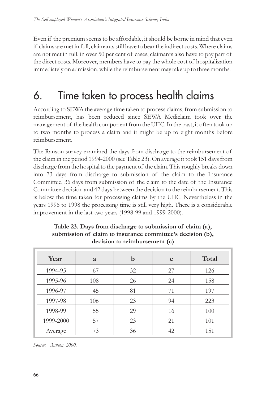Even if the premium seems to be affordable, it should be borne in mind that even if claims are met in full, claimants still have to bear the indirect costs. Where claims are not met in full, in over 50 per cent of cases, claimants also have to pay part of the direct costs. Moreover, members have to pay the whole cost of hospitalization immediately on admission, while the reimbursement may take up to three months.

## 6. Time taken to process health claims

According to SEWA the average time taken to process claims, from submission to reimbursement, has been reduced since SEWA Mediclaim took over the management of the health component from the UIIC. In the past, it often took up to two months to process a claim and it might be up to eight months before reimbursement.

The Ranson survey examined the days from discharge to the reimbursement of the claim in the period 1994-2000 (see Table 23). On average it took 151 days from discharge from the hospital to the payment of the claim. This roughly breaks down into 73 days from discharge to submission of the claim to the Insurance Committee, 36 days from submission of the claim to the date of the Insurance Committee decision and 42 days between the decision to the reimbursement. This is below the time taken for processing claims by the UIIC. Nevertheless in the years 1996 to 1998 the processing time is still very high. There is a considerable improvement in the last two years (1998-99 and 1999-2000).

| Year      | a   | b  | $\mathbf c$ | Total |
|-----------|-----|----|-------------|-------|
| 1994-95   | 67  | 32 | 27          | 126   |
| 1995-96   | 108 | 26 | 24          | 158   |
| 1996-97   | 45  | 81 | 71          | 197   |
| 1997-98   | 106 | 23 | 94          | 223   |
| 1998-99   | 55  | 29 | 16          | 100   |
| 1999-2000 | 57  | 23 | 21          | 101   |
| Average   | 73  | 36 | 42          | 151   |

**Table 23. Days from discharge to submission of claim (a), submission of claim to insurance committee's decision (b), decision to reimbursement (c)**

*Source: Ranson, 2000.*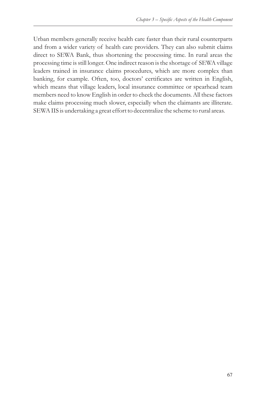Urban members generally receive health care faster than their rural counterparts and from a wider variety of health care providers. They can also submit claims direct to SEWA Bank, thus shortening the processing time. In rural areas the processing time is still longer. One indirect reason is the shortage of SEWA village leaders trained in insurance claims procedures, which are more complex than banking, for example. Often, too, doctors' certificates are written in English, which means that village leaders, local insurance committee or spearhead team members need to know English in order to check the documents. All these factors make claims processing much slower, especially when the claimants are illiterate. SEWA IIS is undertaking a great effort to decentralize the scheme to rural areas.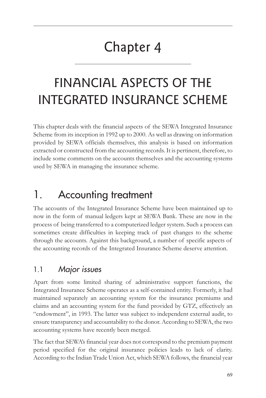# Chapter 4

# FINANCIAL ASPECTS OF THE INTEGRATED INSURANCE SCHEME

This chapter deals with the financial aspects of the SEWA Integrated Insurance Scheme from its inception in 1992 up to 2000. As well as drawing on information provided by SEWA officials themselves, this analysis is based on information extracted or constructed from the accounting records. It is pertinent, therefore, to include some comments on the accounts themselves and the accounting systems used by SEWA in managing the insurance scheme.

## 1. Accounting treatment

The accounts of the Integrated Insurance Scheme have been maintained up to now in the form of manual ledgers kept at SEWA Bank. These are now in the process of being transferred to a computerized ledger system. Such a process can sometimes create difficulties in keeping track of past changes to the scheme through the accounts. Against this background, a number of specific aspects of the accounting records of the Integrated Insurance Scheme deserve attention.

### 1.1 *Major issues*

Apart from some limited sharing of administrative support functions, the Integrated Insurance Scheme operates as a self-contained entity. Formerly, it had maintained separately an accounting system for the insurance premiums and claims and an accounting system for the fund provided by GTZ, effectively an "endowment", in 1993. The latter was subject to independent external audit, to ensure transparency and accountability to the donor. According to SEWA, the two accounting systems have recently been merged.

The fact that SEWA's financial year does not correspond to the premium payment period specified for the original insurance policies leads to lack of clarity. According to the Indian Trade Union Act, which SEWA follows, the financial year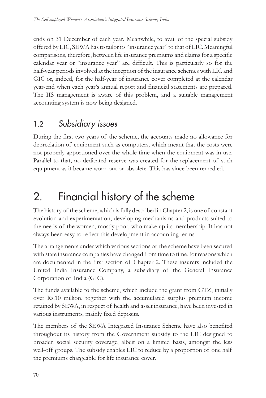ends on 31 December of each year. Meanwhile, to avail of the special subsidy offered by LIC, SEWA has to tailor its "insurance year" to that of LIC. Meaningful comparisons, therefore, between life insurance premiums and claims for a specific calendar year or "insurance year" are difficult. This is particularly so for the half-year periods involved at the inception of the insurance schemes with LIC and GIC or, indeed, for the half-year of insurance cover completed at the calendar year-end when each year's annual report and financial statements are prepared. The IIS management is aware of this problem, and a suitable management accounting system is now being designed.

### 1.2 *Subsidiary issues*

During the first two years of the scheme, the accounts made no allowance for depreciation of equipment such as computers, which meant that the costs were not properly apportioned over the whole time when the equipment was in use. Parallel to that, no dedicated reserve was created for the replacement of such equipment as it became worn-out or obsolete. This has since been remedied.

# 2. Financial history of the scheme

The history of the scheme, which is fully described in Chapter 2, is one of constant evolution and experimentation, developing mechanisms and products suited to the needs of the women, mostly poor, who make up its membership. It has not always been easy to reflect this development in accounting terms.

The arrangements under which various sections of the scheme have been secured with state insurance companies have changed from time to time, for reasons which are documented in the first section of Chapter 2. These insurers included the United India Insurance Company, a subsidiary of the General Insurance Corporation of India (GIC).

The funds available to the scheme, which include the grant from GTZ, initially over Rs.10 million, together with the accumulated surplus premium income retained by SEWA, in respect of health and asset insurance, have been invested in various instruments, mainly fixed deposits.

The members of the SEWA Integrated Insurance Scheme have also benefited throughout its history from the Government subsidy to the LIC designed to broaden social security coverage, albeit on a limited basis, amongst the less well-off groups. The subsidy enables LIC to reduce by a proportion of one half the premiums chargeable for life insurance cover.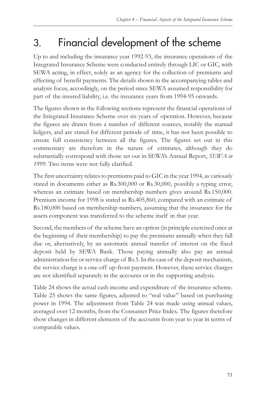## 3. Financial development of the scheme

Up to and including the insurance year 1992-93, the insurance operations of the Integrated Insurance Scheme were conducted entirely through LIC or GIC, with SEWA acting, in effect, solely as an agency for the collection of premiums and effecting of benefit payments. The details shown in the accompanying tables and analysis focus, accordingly, on the period since SEWA assumed responsibility for part of the insured liability, i.e. the insurance years from 1994-95 onwards.

The figures shown in the following sections represent the financial operations of the Integrated Insurance Scheme over six years of operation. However, because the figures are drawn from a number of different sources, notably the manual ledgers, and are stated for different periods of time, it has not been possible to ensure full consistency between all the figures. The figures set out in this commentary are therefore in the nature of estimates, although they do substantially correspond with those set out in SEWA's Annual Report, *SEWA in 1999*. Two items were not fully clarified.

The first uncertainty relates to premiums paid to GIC in the year 1994, as variously stated in documents either as Rs.300,000 or Rs.30,000, possibly a typing error, whereas an estimate based on membership numbers gives around Rs.150,000. Premium income for 1998 is stated as Rs.405,860, compared with an estimate of Rs.180,000 based on membership numbers, assuming that the insurance for the assets component was transferred to the scheme itself in that year.

Second, the members of the scheme have an option (in principle exercised once at the beginning of their membership) to pay the premiums annually when they fall due or, alternatively, by an automatic annual transfer of interest on the fixed deposit held by SEWA Bank. Those paying annually also pay an annual administration fee or service charge of Rs.5. In the case of the deposit mechanism, the service charge is a one-off up-front payment. However, these service charges are not identified separately in the accounts or in the supporting analysis.

Table 24 shows the actual cash income and expenditure of the insurance scheme. Table 25 shows the same figures, adjusted to "real value" based on purchasing power in 1994. The adjustment from Table 24 was made using annual values, averaged over 12 months, from the Consumer Price Index. The figures therefore show changes in different elements of the accounts from year to year in terms of comparable values.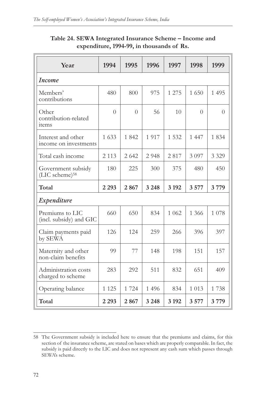| Year                                             | 1994           | 1995             | 1996    | 1997    | 1998     | 1999     |  |  |  |  |
|--------------------------------------------------|----------------|------------------|---------|---------|----------|----------|--|--|--|--|
| <i>Income</i>                                    |                |                  |         |         |          |          |  |  |  |  |
| Members'<br>contributions                        | 480            | 800              | 975     | 1 275   | 1 650    | 1 4 9 5  |  |  |  |  |
| Other<br>contribution-related<br>items           | $\overline{0}$ | $\left( \right)$ | 56      | 10      | $\Omega$ | $\Omega$ |  |  |  |  |
| Interest and other<br>income on investments      | 1 633          | 1 842            | 1917    | 1 5 3 2 | 1 4 4 7  | 1834     |  |  |  |  |
| Total cash income                                | 2 1 1 3        | 2 642            | 2 9 4 8 | 2817    | 3 0 9 7  | 3 3 2 9  |  |  |  |  |
| Government subsidy<br>(LIC scheme) <sup>58</sup> | 180            | 225              | 300     | 375     | 480      | 450      |  |  |  |  |
| Total                                            | 2 2 9 3        | 2867             | 3 2 4 8 | 3 1 9 2 | 3 5 7 7  | 3779     |  |  |  |  |
| Expenditure                                      |                |                  |         |         |          |          |  |  |  |  |
| Premiums to LIC<br>(incl. subsidy) and GIC       | 660            | 650              | 834     | 1 0 6 2 | 1 3 6 6  | 1 0 7 8  |  |  |  |  |
| Claim payments paid<br>by SEWA                   | 126            | 124              | 259     | 266     | 396      | 397      |  |  |  |  |
| Maternity and other<br>non-claim benefits        | 99             | 77               | 148     | 198     | 151      | 157      |  |  |  |  |
| Administration costs<br>charged to scheme        | 283            | 292              | 511     | 832     | 651      | 409      |  |  |  |  |
| Operating balance                                | 1 1 2 5        | 1724             | 1 4 9 6 | 834     | 1 0 1 3  | 1738     |  |  |  |  |
| Total                                            | 2 2 9 3        | 2867             | 3 2 4 8 | 3 1 9 2 | 3577     | 3779     |  |  |  |  |

#### **Table 24. SEWA Integrated Insurance Scheme – Income and expenditure, 1994-99, in thousands of Rs.**

<sup>58</sup> The Government subsidy is included here to ensure that the premiums and claims, for this section of the insurance scheme, are stated on bases which are properly comparable. In fact, the subsidy is paid directly to the LIC and does not represent any cash sum which passes through SEWA's scheme.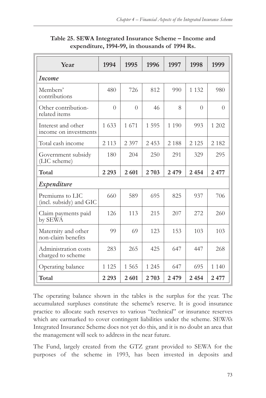| Year                                        | 1994     | 1995     | 1996    | 1997    | 1998      | 1999     |  |  |  |  |
|---------------------------------------------|----------|----------|---------|---------|-----------|----------|--|--|--|--|
| Income                                      |          |          |         |         |           |          |  |  |  |  |
| Members'<br>contributions                   | 480      | 726      | 812     | 990     | 1 1 3 2   | 980      |  |  |  |  |
| Other contribution-<br>related items        | $\theta$ | $\Omega$ | 46      | 8       | $\bigcap$ | $\Omega$ |  |  |  |  |
| Interest and other<br>income on investments | 1 6 3 3  | 1671     | 1 5 9 5 | 1 1 9 0 | 993       | 1 202    |  |  |  |  |
| Total cash income                           | 2 1 1 3  | 2 3 9 7  | 2453    | 2 1 8 8 | 2 1 2 5   | 2 1 8 2  |  |  |  |  |
| Government subsidy<br>(LIC scheme)          | 180      | 204      | 250     | 291     | 329       | 295      |  |  |  |  |
| Total                                       | 2 2 9 3  | 2 601    | 2 703   | 2479    | 2454      | 2477     |  |  |  |  |
| Expenditure                                 |          |          |         |         |           |          |  |  |  |  |
| Premiums to LIC<br>(incl. subsidy) and GIC  | 660      | 589      | 695     | 825     | 937       | 706      |  |  |  |  |
| Claim payments paid<br>by SEWA              | 126      | 113      | 215     | 207     | 272       | 260      |  |  |  |  |
| Maternity and other<br>non-claim benefits   | 99       | 69       | 123     | 153     | 103       | 103      |  |  |  |  |
| Administration costs<br>charged to scheme   | 283      | 265      | 425     | 647     | 447       | 268      |  |  |  |  |
| Operating balance                           | 1 1 2 5  | 1 5 6 5  | 1 2 4 5 | 647     | 695       | 1 1 4 0  |  |  |  |  |
| Total                                       | 2 2 9 3  | 2 601    | 2 7 0 3 | 2479    | 2454      | 2477     |  |  |  |  |

#### **Table 25. SEWA Integrated Insurance Scheme – Income and expenditure, 1994-99, in thousands of 1994 Rs.**

The operating balance shown in the tables is the surplus for the year. The accumulated surpluses constitute the scheme's reserve. It is good insurance practice to allocate such reserves to various "technical" or insurance reserves which are earmarked to cover contingent liabilities under the scheme. SEWA's Integrated Insurance Scheme does not yet do this, and it is no doubt an area that the management will seek to address in the near future.

The Fund, largely created from the GTZ grant provided to SEWA for the purposes of the scheme in 1993, has been invested in deposits and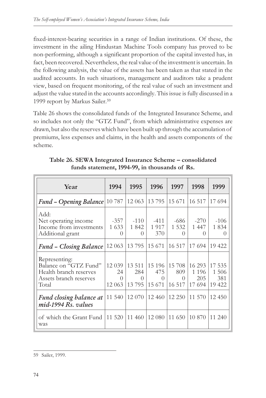fixed-interest-bearing securities in a range of Indian institutions. Of these, the investment in the ailing Hindustan Machine Tools company has proved to be non-performing, although a significant proportion of the capital invested has, in fact, been recovered. Nevertheless, the real value of the investment is uncertain. In the following analysis, the value of the assets has been taken as that stated in the audited accounts. In such situations, management and auditors take a prudent view, based on frequent monitoring, of the real value of such an investment and adjust the value stated in the accounts accordingly. This issue is fully discussed in a 1999 report by Markus Sailer.59

Table 26 shows the consolidated funds of the Integrated Insurance Scheme, and so includes not only the "GTZ Fund", from which administrative expenses are drawn, but also the reserves which have been built up through the accumulation of premiums, less expenses and claims, in the health and assets components of the scheme.

| Year                                                                                                | 1994                                      | 1995                                       | 1996                                        | 1997                                | 1998                                | 1999                               |
|-----------------------------------------------------------------------------------------------------|-------------------------------------------|--------------------------------------------|---------------------------------------------|-------------------------------------|-------------------------------------|------------------------------------|
| <b>Fund - Opening Balance</b> 10 787   12 063                                                       |                                           |                                            | 13795                                       | 15 671                              | 16 517                              | 17 694                             |
| Add:<br>Net operating income<br>Income from investments<br>Additional grant                         | -357<br>1 6 3 3<br>0                      | $-110$<br>1 842<br>$\Omega$                | $-411$<br>1917<br>370                       | $-686$<br>1 5 3 2<br>$\Omega$       | $-270$<br>1 447<br>$\left( \right)$ | $-106$<br>1834<br>$\left( \right)$ |
| <b>Fund - Closing Balance</b>                                                                       |                                           | 12 063 13 795                              | 15 671                                      | 16 517                              | 17 694                              | 19 422                             |
| Representing:<br>Balance on "GTZ Fund"<br>Health branch reserves<br>Assets branch reserves<br>Total | 12039<br>24<br>$\left( \right)$<br>12 063 | 13 511<br>284<br>$\left( \right)$<br>13795 | 15 196<br>475<br>$\left( \right)$<br>15 671 | 15 708<br>809<br>$\Omega$<br>16 517 | 16 29 3<br>1 1 9 6<br>205<br>17 694 | 17 535<br>1 506<br>381<br>19 422   |
| Fund closing balance at<br>mid-1994 Rs. values                                                      | 11 540                                    | 12 070                                     | 12 460                                      | 12 250                              | 11 570                              | 12 450                             |
| of which the Grant Fund<br>was                                                                      | 11 520                                    | 11 460                                     | 12 080                                      | 11 650                              | 10 870                              | 11 240                             |

**Table 26. SEWA Integrated Insurance Scheme – consolidated funds statement, 1994-99, in thousands of Rs.**

<sup>59</sup> Sailer, 1999.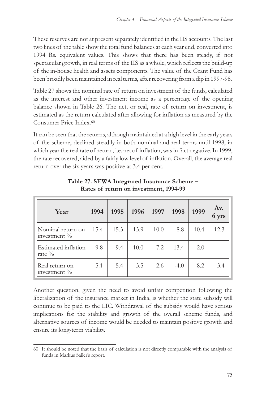These reserves are not at present separately identified in the IIS accounts. The last two lines of the table show the total fund balances at each year end, converted into 1994 Rs. equivalent values. This shows that there has been steady, if not spectacular growth, in real terms of the IIS as a whole, which reflects the build-up of the in-house health and assets components. The value of the Grant Fund has been broadly been maintained in real terms, after recovering from a dip in 1997-98.

Table 27 shows the nominal rate of return on investment of the funds, calculated as the interest and other investment income as a percentage of the opening balance shown in Table 26. The net, or real, rate of return on investment, is estimated as the return calculated after allowing for inflation as measured by the Consumer Price Index.60

It can be seen that the returns, although maintained at a high level in the early years of the scheme, declined steadily in both nominal and real terms until 1998, in which year the real rate of return, i.e. net of inflation, was in fact negative. In 1999, the rate recovered, aided by a fairly low level of inflation. Overall, the average real return over the six years was positive at 3.4 per cent.

| Year                                 | 1994 | 1995 | 1996 | 1997 | 1998   | 1999 | Av.<br>6 yrs |
|--------------------------------------|------|------|------|------|--------|------|--------------|
| Nominal return on<br>investment $\%$ | 15.4 | 15.3 | 13.9 | 10.0 | 8.8    | 10.4 | 12.3         |
| Estimated inflation<br>rate $\%$     | 9.8  | 9.4  | 10.0 | 7.2  | 13.4   | 2.0  |              |
| Real return on<br>investment %       | 5.1  | 5.4  | 3.5  | 2.6  | $-4.0$ | 8.2  | 3.4          |

**Table 27. SEWA Integrated Insurance Scheme – Rates of return on investment, 1994-99**

Another question, given the need to avoid unfair competition following the liberalization of the insurance market in India, is whether the state subsidy will continue to be paid to the LIC. Withdrawal of the subsidy would have serious implications for the stability and growth of the overall scheme funds, and alternative sources of income would be needed to maintain positive growth and ensure its long-term viability.

<sup>60</sup> It should be noted that the basis of calculation is not directly comparable with the analysis of funds in Markus Sailer's report.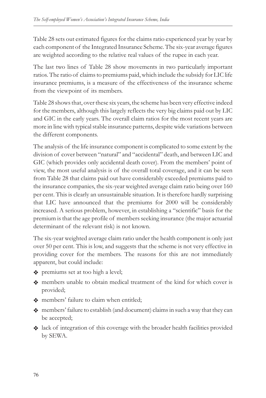Table 28 sets out estimated figures for the claims ratio experienced year by year by each component of the Integrated Insurance Scheme. The six-year average figures are weighted according to the relative real values of the rupee in each year.

The last two lines of Table 28 show movements in two particularly important ratios. The ratio of claims to premiums paid, which include the subsidy for LIC life insurance premiums, is a measure of the effectiveness of the insurance scheme from the viewpoint of its members.

Table 28 shows that, over these six years, the scheme has been very effective indeed for the members, although this largely reflects the very big claims paid out by LIC and GIC in the early years. The overall claim ratios for the most recent years are more in line with typical stable insurance patterns, despite wide variations between the different components.

The analysis of the life insurance component is complicated to some extent by the division of cover between "natural" and "accidental" death, and between LIC and GIC (which provides only accidental death cover). From the members' point of view, the most useful analysis is of the overall total coverage, and it can be seen from Table 28 that claims paid out have considerably exceeded premiums paid to the insurance companies, the six-year weighted average claim ratio being over 160 per cent. This is clearly an unsustainable situation. It is therefore hardly surprising that LIC have announced that the premiums for 2000 will be considerably increased. A serious problem, however, in establishing a "scientific" basis for the premium is that the age profile of members seeking insurance (the major actuarial determinant of the relevant risk) is not known.

The six-year weighted average claim ratio under the health component is only just over 50 per cent. This is low, and suggests that the scheme is not very effective in providing cover for the members. The reasons for this are not immediately apparent, but could include:

- v premiums set at too high a level;
- v members unable to obtain medical treatment of the kind for which cover is provided;
- v members' failure to claim when entitled;
- $\clubsuit$  members' failure to establish (and document) claims in such a way that they can be accepted;
- v lack of integration of this coverage with the broader health facilities provided by SEWA.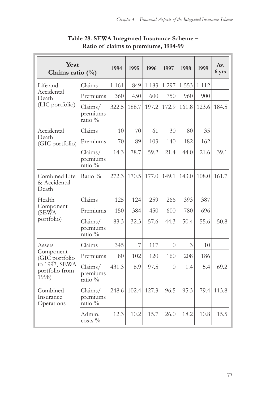| Year<br>Claims ratio $(\%)$             |                                 | 1994    | 1995  | 1996    | 1997     | 1998    | 1999    | Av.<br>6 yrs |
|-----------------------------------------|---------------------------------|---------|-------|---------|----------|---------|---------|--------------|
| Life and                                | Claims                          | 1 1 6 1 | 849   | 1 1 8 3 | 1 297    | 1 5 5 3 | 1 1 1 2 |              |
| Accidental<br>Death                     | Premiums                        | 360     | 450   | 600     | 750      | 960     | 900     |              |
| (LIC portfolio)                         | Clains/<br>premiums<br>ratio %  | 322.5   | 188.7 | 197.2   | 172.9    | 161.8   | 123.6   | 184.5        |
| Accidental                              | Claims                          | 10      | 70    | 61      | 30       | 80      | 35      |              |
| Death<br>(GIC portfolio)                | Premiums                        | 70      | 89    | 103     | 140      | 182     | 162     |              |
|                                         | Clains/<br>premiums<br>ratio %  | 14.3    | 78.7  | 59.2    | 21.4     | 44.0    | 21.6    | 39.1         |
| Combined Life<br>& Accidental<br>Death  | Ratio $\%$                      | 272.3   | 170.5 | 177.0   | 149.1    | 143.0   | 108.0   | 161.7        |
| Health                                  | Claims                          | 125     | 124   | 259     | 266      | 393     | 387     |              |
| Component<br>(SEWA                      | Premiums                        | 150     | 384   | 450     | 600      | 780     | 696     |              |
| portfolio)                              | Claims/<br>premiums<br>ratio %  | 83.3    | 32.3  | 57.6    | 44.3     | 50.4    | 55.6    | 50.8         |
| Assets                                  | Claims                          | 345     | 7     | 117     | $\Omega$ | 3       | 10      |              |
| Component<br>(GIC portfolio             | Premiums                        | 80      | 102   | 120     | 160      | 208     | 186     |              |
| to 1997, SEWA<br>portfolio from<br>1998 | Claims/<br>premiums<br>ratio %  | 431.3   | 6.9   | 97.5    | $\theta$ | 1.4     | 5.4     | 69.2         |
| Combined<br>Insurance<br>Operations     | Clains/<br>premiums<br>ratio %  | 248.6   | 102.4 | 127.3   | 96.5     | 95.3    | 79.4    | 113.8        |
|                                         | Admin.<br>$\cos ts \frac{0}{6}$ | 12.3    | 10.2  | 15.7    | 26.0     | 18.2    | 10.8    | 15.5         |

#### **Table 28. SEWA Integrated Insurance Scheme – Ratio of claims to premiums, 1994-99**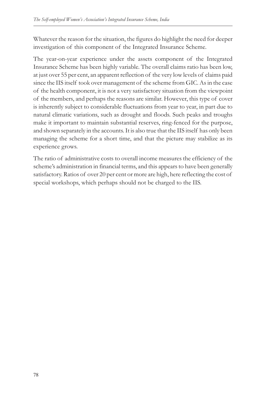Whatever the reason for the situation, the figures do highlight the need for deeper investigation of this component of the Integrated Insurance Scheme.

The year-on-year experience under the assets component of the Integrated Insurance Scheme has been highly variable. The overall claims ratio has been low, at just over 55 per cent, an apparent reflection of the very low levels of claims paid since the IIS itself took over management of the scheme from GIC. As in the case of the health component, it is not a very satisfactory situation from the viewpoint of the members, and perhaps the reasons are similar. However, this type of cover is inherently subject to considerable fluctuations from year to year, in part due to natural climatic variations, such as drought and floods. Such peaks and troughs make it important to maintain substantial reserves, ring-fenced for the purpose, and shown separately in the accounts. It is also true that the IIS itself has only been managing the scheme for a short time, and that the picture may stabilize as its experience grows.

The ratio of administrative costs to overall income measures the efficiency of the scheme's administration in financial terms, and this appears to have been generally satisfactory. Ratios of over 20 per cent or more are high, here reflecting the cost of special workshops, which perhaps should not be charged to the IIS.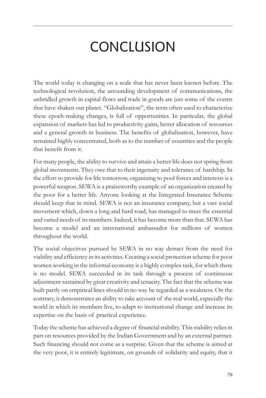# **CONCLUSION**

The world today is changing on a scale that has never been known before. The technological revolution, the astounding development of communications, the unbridled growth in capital flows and trade in goods are just some of the events that have shaken our planet. "Globalization", the term often used to characterize these epoch-making changes, is full of opportunities. In particular, the global expansion of markets has led to productivity gains, better allocation of resources and a general growth in business. The benefits of globalization, however, have remained highly concentrated, both as to the number of countries and the people that benefit from it.

For many people, the ability to survive and attain a better life does not spring from global movements. They owe that to their ingenuity and tolerance of hardship. In the effort to provide for life tomorrow, organizing to pool forces and interests is a powerful weapon. SEWA is a praiseworthy example of an organization created by the poor for a better life. Anyone looking at the Integrated Insurance Scheme should keep that in mind. SEWA is not an insurance company, but a vast social movement which, down a long and hard road, has managed to meet the essential and varied needs of its members. Indeed, it has become more than that. SEWA has become a model and an international ambassador for millions of women throughout the world.

The social objectives pursued by SEWA in no way detract from the need for viability and efficiency in its activities. Creating a social protection scheme for poor women working in the informal economy is a highly complex task, for which there is no model. SEWA succeeded in its task through a process of continuous adjustment sustained by great creativity and tenacity. The fact that the scheme was built partly on empirical lines should in no way be regarded as a weakness. On the contrary, it demonstrates an ability to take account of the real world, especially the world in which its members live, to adapt to institutional change and increase its expertise on the basis of practical experience.

Today the scheme has achieved a degree of financial stability. This stability relies in part on resources provided by the Indian Government and by an external partner. Such financing should not come as a surprise. Given that the scheme is aimed at the very poor, it is entirely legitimate, on grounds of solidarity and equity, that it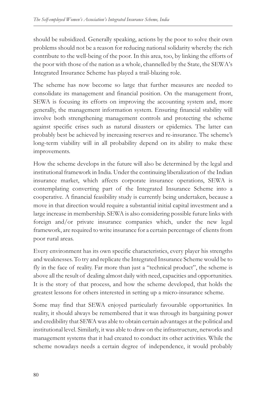should be subsidized. Generally speaking, actions by the poor to solve their own problems should not be a reason for reducing national solidarity whereby the rich contribute to the well-being of the poor. In this area, too, by linking the efforts of the poor with those of the nation as a whole, channelled by the State, the SEWA's Integrated Insurance Scheme has played a trail-blazing role.

The scheme has now become so large that further measures are needed to consolidate its management and financial position. On the management front, SEWA is focusing its efforts on improving the accounting system and, more generally, the management information system. Ensuring financial stability will involve both strengthening management controls and protecting the scheme against specific crises such as natural disasters or epidemics. The latter can probably best be achieved by increasing reserves and re-insurance. The scheme's long-term viability will in all probability depend on its ability to make these improvements.

How the scheme develops in the future will also be determined by the legal and institutional framework in India. Under the continuing liberalization of the Indian insurance market, which affects corporate insurance operations, SEWA is contemplating converting part of the Integrated Insurance Scheme into a cooperative. A financial feasibility study is currently being undertaken, because a move in that direction would require a substantial initial capital investment and a large increase in membership. SEWA is also considering possible future links with foreign and/or private insurance companies which, under the new legal framework, are required to write insurance for a certain percentage of clients from poor rural areas.

Every environment has its own specific characteristics, every player his strengths and weaknesses. To try and replicate the Integrated Insurance Scheme would be to fly in the face of reality. Far more than just a "technical product", the scheme is above all the result of dealing almost daily with need, capacities and opportunities. It is the story of that process, and how the scheme developed, that holds the greatest lessons for others interested in setting up a micro-insurance scheme.

Some may find that SEWA enjoyed particularly favourable opportunities. In reality, it should always be remembered that it was through its bargaining power and credibility that SEWA was able to obtain certain advantages at the political and institutional level. Similarly, it was able to draw on the infrastructure, networks and management systems that it had created to conduct its other activities. While the scheme nowadays needs a certain degree of independence, it would probably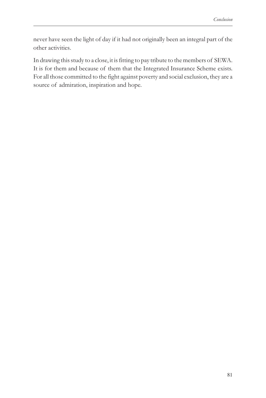never have seen the light of day if it had not originally been an integral part of the other activities.

In drawing this study to a close, it is fitting to pay tribute to the members of SEWA. It is for them and because of them that the Integrated Insurance Scheme exists. For all those committed to the fight against poverty and social exclusion, they are a source of admiration, inspiration and hope.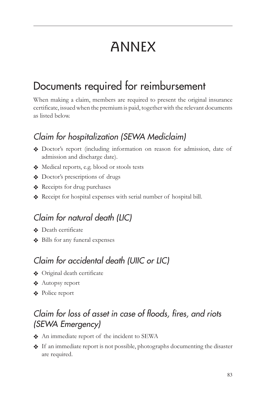# ANNEX

## Documents required for reimbursement

When making a claim, members are required to present the original insurance certificate, issued when the premium is paid, together with the relevant documents as listed below.

## *Claim for hospitalization (SEWA Mediclaim)*

- Doctor's report (including information on reason for admission, date of admission and discharge date).
- v Medical reports, e.g. blood or stools tests
- Doctor's prescriptions of drugs
- \* Receipts for drug purchases
- v Receipt for hospital expenses with serial number of hospital bill.

## *Claim for natural death (LIC)*

- v Death certificate
- v Bills for any funeral expenses

## *Claim for accidental death (UIIC or LIC)*

- v Original death certificate
- $\triangleleft$  Autopsy report
- ◆ Police report

### *Claim for loss of asset in case of floods, fires, and riots (SEWA Emergency)*

- v An immediate report of the incident to SEWA
- $\clubsuit$  If an immediate report is not possible, photographs documenting the disaster are required.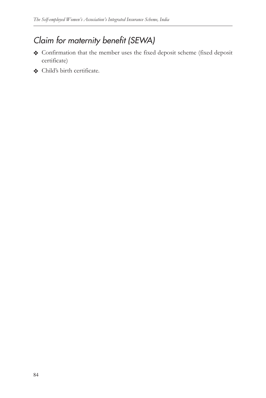## *Claim for maternity benefit (SEWA)*

- v Confirmation that the member uses the fixed deposit scheme (fixed deposit certificate)
- v Child's birth certificate.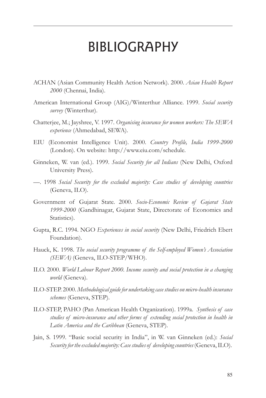# BIBLIOGRAPHY

- ACHAN (Asian Community Health Action Network). 2000. *Asian Health Report 2000* (Chennai, India).
- American International Group (AIG)/Winterthur Alliance. 1999. *Social security survey* (Winterthur).
- Chatterjee, M.; Jayshree, V. 1997. *Organising insurance for women workers: The SEWA experience* (Ahmedabad, SEWA).
- EIU (Economist Intelligence Unit). 2000. *Country Profile, India 1999-2000* (London). On website: http://www.eiu.com/schedule.
- Ginneken, W. van (ed.). 1999. *Social Security for all Indians* (New Delhi, Oxford University Press).
- —. 1998 *Social Security for the excluded majority: Case studies of developing countries* (Geneva, ILO).
- Government of Gujarat State. 2000. *Socio-Economic Review of Gujarat State 1999-2000* (Gandhinagar, Gujarat State, Directorate of Economics and Statistics).
- Gupta, R.C. 1994. NGO *Experiences in social security* (New Delhi, Friedrich Ebert Foundation).
- Hauck, K. 1998. *The social security programme of the Self-employed Women's Association (SEWA)* (Geneva, ILO-STEP/WHO).
- ILO. 2000. *World Labour Report 2000. Income security and social protection in a changing world* (Geneva).
- ILO-STEP. 2000. *Methodological guide for undertaking case studies on micro-health insurance schemes* (Geneva, STEP).
- ILO-STEP, PAHO (Pan American Health Organization). 1999a. *Synthesis of case studies of micro-insurance and other forms of extending social protection in health in Latin America and the Caribbean* (Geneva, STEP).
- Jain, S. 1999. "Basic social security in India", in W. van Ginneken (ed.): *Social Security for the excluded majority: Case studies of developing countries* (Geneva, ILO).